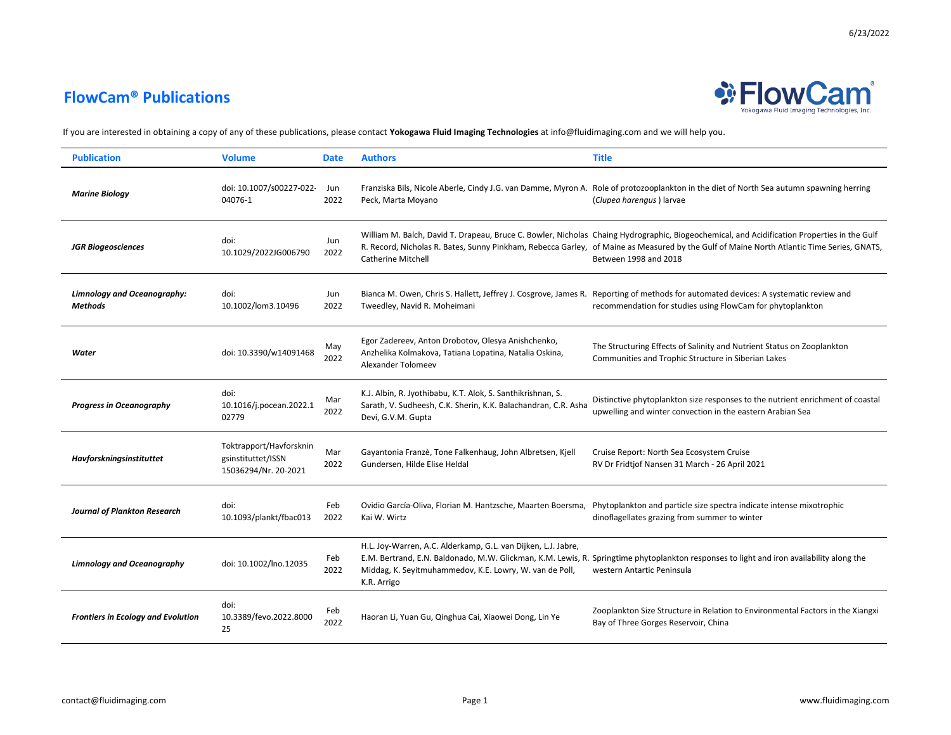

| <b>Publication</b>                                   | <b>Volume</b>                                                         | <b>Date</b> | <b>Authors</b>                                                                                                                                      | <b>Title</b>                                                                                                                                                                                                                                                                                                      |
|------------------------------------------------------|-----------------------------------------------------------------------|-------------|-----------------------------------------------------------------------------------------------------------------------------------------------------|-------------------------------------------------------------------------------------------------------------------------------------------------------------------------------------------------------------------------------------------------------------------------------------------------------------------|
| <b>Marine Biology</b>                                | doi: 10.1007/s00227-022<br>04076-1                                    | Jun<br>2022 | Peck, Marta Moyano                                                                                                                                  | Franziska Bils, Nicole Aberle, Cindy J.G. van Damme, Myron A. Role of protozooplankton in the diet of North Sea autumn spawning herring<br>(Clupea harengus) larvae                                                                                                                                               |
| <b>JGR Biogeosciences</b>                            | doi:<br>10.1029/2022JG006790                                          | Jun<br>2022 | <b>Catherine Mitchell</b>                                                                                                                           | William M. Balch, David T. Drapeau, Bruce C. Bowler, Nicholas Chaing Hydrographic, Biogeochemical, and Acidification Properties in the Gulf<br>R. Record, Nicholas R. Bates, Sunny Pinkham, Rebecca Garley, of Maine as Measured by the Gulf of Maine North Atlantic Time Series, GNATS,<br>Between 1998 and 2018 |
| <b>Limnology and Oceanography:</b><br><b>Methods</b> | doi:<br>10.1002/lom3.10496                                            | Jun<br>2022 | Tweedley, Navid R. Moheimani                                                                                                                        | Bianca M. Owen, Chris S. Hallett, Jeffrey J. Cosgrove, James R. Reporting of methods for automated devices: A systematic review and<br>recommendation for studies using FlowCam for phytoplankton                                                                                                                 |
| Water                                                | doi: 10.3390/w14091468                                                | May<br>2022 | Egor Zadereev, Anton Drobotov, Olesya Anishchenko,<br>Anzhelika Kolmakova, Tatiana Lopatina, Natalia Oskina,<br>Alexander Tolomeev                  | The Structuring Effects of Salinity and Nutrient Status on Zooplankton<br>Communities and Trophic Structure in Siberian Lakes                                                                                                                                                                                     |
| <b>Progress in Oceanography</b>                      | doi:<br>10.1016/j.pocean.2022.1<br>02779                              | Mar<br>2022 | K.J. Albin, R. Jyothibabu, K.T. Alok, S. Santhikrishnan, S.<br>Sarath, V. Sudheesh, C.K. Sherin, K.K. Balachandran, C.R. Asha<br>Devi, G.V.M. Gupta | Distinctive phytoplankton size responses to the nutrient enrichment of coastal<br>upwelling and winter convection in the eastern Arabian Sea                                                                                                                                                                      |
| Havforskningsinstituttet                             | Toktrapport/Havforsknin<br>gsinstituttet/ISSN<br>15036294/Nr. 20-2021 | Mar<br>2022 | Gayantonia Franzè, Tone Falkenhaug, John Albretsen, Kjell<br>Gundersen, Hilde Elise Heldal                                                          | Cruise Report: North Sea Ecosystem Cruise<br>RV Dr Fridtjof Nansen 31 March - 26 April 2021                                                                                                                                                                                                                       |
| <b>Journal of Plankton Research</b>                  | doi:<br>10.1093/plankt/fbac013                                        | Feb<br>2022 | Kai W. Wirtz                                                                                                                                        | Ovidio García-Oliva, Florian M. Hantzsche, Maarten Boersma, Phytoplankton and particle size spectra indicate intense mixotrophic<br>dinoflagellates grazing from summer to winter                                                                                                                                 |
| <b>Limnology and Oceanography</b>                    | doi: 10.1002/lno.12035                                                | Feb<br>2022 | H.L. Joy-Warren, A.C. Alderkamp, G.L. van Dijken, L.J. Jabre,<br>Middag, K. Seyitmuhammedov, K.E. Lowry, W. van de Poll,<br>K.R. Arrigo             | E.M. Bertrand, E.N. Baldonado, M.W. Glickman, K.M. Lewis, R. Springtime phytoplankton responses to light and iron availability along the<br>western Antartic Peninsula                                                                                                                                            |
| <b>Frontiers in Ecology and Evolution</b>            | doi:<br>10.3389/fevo.2022.8000<br>25                                  | Feb<br>2022 | Haoran Li, Yuan Gu, Qinghua Cai, Xiaowei Dong, Lin Ye                                                                                               | Zooplankton Size Structure in Relation to Environmental Factors in the Xiangxi<br>Bay of Three Gorges Reservoir, China                                                                                                                                                                                            |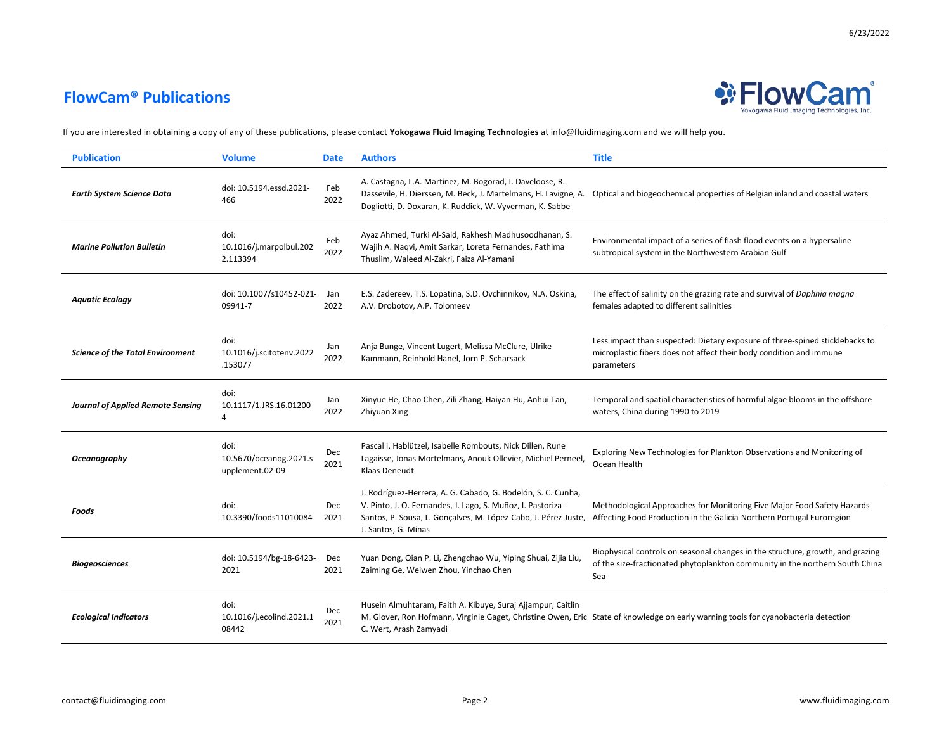

| <b>Publication</b>                       | <b>Volume</b>                                     | <b>Date</b> | <b>Authors</b>                                                                                                                                                                                                       | <b>Title</b>                                                                                                                                                          |
|------------------------------------------|---------------------------------------------------|-------------|----------------------------------------------------------------------------------------------------------------------------------------------------------------------------------------------------------------------|-----------------------------------------------------------------------------------------------------------------------------------------------------------------------|
| Earth System Science Data                | doi: 10.5194.essd.2021-<br>466                    | Feb<br>2022 | A. Castagna, L.A. Martínez, M. Bogorad, I. Daveloose, R.<br>Dogliotti, D. Doxaran, K. Ruddick, W. Vyverman, K. Sabbe                                                                                                 | Dassevile, H. Dierssen, M. Beck, J. Martelmans, H. Lavigne, A. Optical and biogeochemical properties of Belgian inland and coastal waters                             |
| <b>Marine Pollution Bulletin</b>         | doi:<br>10.1016/j.marpolbul.202<br>2.113394       | Feb<br>2022 | Ayaz Ahmed, Turki Al-Said, Rakhesh Madhusoodhanan, S.<br>Wajih A. Naqvi, Amit Sarkar, Loreta Fernandes, Fathima<br>Thuslim, Waleed Al-Zakri, Faiza Al-Yamani                                                         | Environmental impact of a series of flash flood events on a hypersaline<br>subtropical system in the Northwestern Arabian Gulf                                        |
| <b>Aquatic Ecology</b>                   | doi: 10.1007/s10452-021<br>09941-7                | Jan<br>2022 | E.S. Zadereev, T.S. Lopatina, S.D. Ovchinnikov, N.A. Oskina,<br>A.V. Drobotov, A.P. Tolomeev                                                                                                                         | The effect of salinity on the grazing rate and survival of Daphnia magna<br>females adapted to different salinities                                                   |
| <b>Science of the Total Environment</b>  | doi:<br>10.1016/j.scitotenv.2022<br>.153077       | Jan<br>2022 | Anja Bunge, Vincent Lugert, Melissa McClure, Ulrike<br>Kammann, Reinhold Hanel, Jorn P. Scharsack                                                                                                                    | Less impact than suspected: Dietary exposure of three-spined sticklebacks to<br>microplastic fibers does not affect their body condition and immune<br>parameters     |
| <b>Journal of Applied Remote Sensing</b> | doi:<br>10.1117/1.JRS.16.01200<br>4               | Jan<br>2022 | Xinyue He, Chao Chen, Zili Zhang, Haiyan Hu, Anhui Tan,<br>Zhiyuan Xing                                                                                                                                              | Temporal and spatial characteristics of harmful algae blooms in the offshore<br>waters, China during 1990 to 2019                                                     |
| Oceanography                             | doi:<br>10.5670/oceanog.2021.s<br>upplement.02-09 | Dec<br>2021 | Pascal I. Hablützel, Isabelle Rombouts, Nick Dillen, Rune<br>Lagaisse, Jonas Mortelmans, Anouk Ollevier, Michiel Perneel,<br>Klaas Deneudt                                                                           | Exploring New Technologies for Plankton Observations and Monitoring of<br>Ocean Health                                                                                |
| Foods                                    | doi:<br>10.3390/foods11010084                     | Dec<br>2021 | J. Rodríguez-Herrera, A. G. Cabado, G. Bodelón, S. C. Cunha,<br>V. Pinto, J. O. Fernandes, J. Lago, S. Muñoz, I. Pastoriza-<br>Santos, P. Sousa, L. Gonçalves, M. López-Cabo, J. Pérez-Juste,<br>J. Santos, G. Minas | Methodological Approaches for Monitoring Five Major Food Safety Hazards<br>Affecting Food Production in the Galicia-Northern Portugal Euroregion                      |
| <b>Biogeosciences</b>                    | doi: 10.5194/bg-18-6423-<br>2021                  | Dec<br>2021 | Yuan Dong, Qian P. Li, Zhengchao Wu, Yiping Shuai, Zijia Liu,<br>Zaiming Ge, Weiwen Zhou, Yinchao Chen                                                                                                               | Biophysical controls on seasonal changes in the structure, growth, and grazing<br>of the size-fractionated phytoplankton community in the northern South China<br>Sea |
| <b>Ecological Indicators</b>             | doi:<br>10.1016/j.ecolind.2021.1<br>08442         | Dec<br>2021 | Husein Almuhtaram, Faith A. Kibuye, Suraj Ajjampur, Caitlin<br>C. Wert, Arash Zamyadi                                                                                                                                | M. Glover, Ron Hofmann, Virginie Gaget, Christine Owen, Eric State of knowledge on early warning tools for cyanobacteria detection                                    |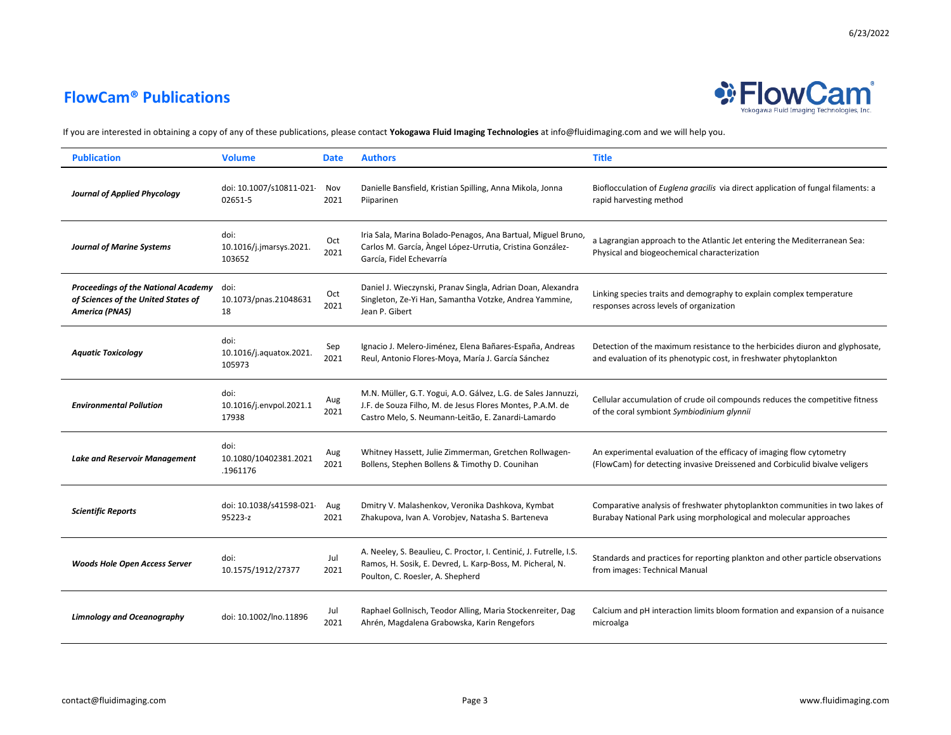

| <b>Publication</b>                                                                                         | <b>Volume</b>                             | <b>Date</b> | <b>Authors</b>                                                                                                                                                                   | <b>Title</b>                                                                                                                                        |
|------------------------------------------------------------------------------------------------------------|-------------------------------------------|-------------|----------------------------------------------------------------------------------------------------------------------------------------------------------------------------------|-----------------------------------------------------------------------------------------------------------------------------------------------------|
| <b>Journal of Applied Phycology</b>                                                                        | doi: 10.1007/s10811-021<br>02651-5        | Nov<br>2021 | Danielle Bansfield, Kristian Spilling, Anna Mikola, Jonna<br>Piiparinen                                                                                                          | Bioflocculation of Euglena gracilis via direct application of fungal filaments: a<br>rapid harvesting method                                        |
| <b>Journal of Marine Systems</b>                                                                           | doi:<br>10.1016/j.jmarsys.2021.<br>103652 | Oct<br>2021 | Iria Sala, Marina Bolado-Penagos, Ana Bartual, Miguel Bruno,<br>Carlos M. García, Àngel López-Urrutia, Cristina González-<br>García, Fidel Echevarría                            | a Lagrangian approach to the Atlantic Jet entering the Mediterranean Sea:<br>Physical and biogeochemical characterization                           |
| <b>Proceedings of the National Academy</b><br>of Sciences of the United States of<br><b>America (PNAS)</b> | doi:<br>10.1073/pnas.21048631<br>18       | Oct<br>2021 | Daniel J. Wieczynski, Pranav Singla, Adrian Doan, Alexandra<br>Singleton, Ze-Yi Han, Samantha Votzke, Andrea Yammine,<br>Jean P. Gibert                                          | Linking species traits and demography to explain complex temperature<br>responses across levels of organization                                     |
| <b>Aquatic Toxicology</b>                                                                                  | doi:<br>10.1016/j.aquatox.2021.<br>105973 | Sep<br>2021 | Ignacio J. Melero-Jiménez, Elena Bañares-España, Andreas<br>Reul, Antonio Flores-Moya, María J. García Sánchez                                                                   | Detection of the maximum resistance to the herbicides diuron and glyphosate,<br>and evaluation of its phenotypic cost, in freshwater phytoplankton  |
| <b>Environmental Pollution</b>                                                                             | doi:<br>10.1016/j.envpol.2021.1<br>17938  | Aug<br>2021 | M.N. Müller, G.T. Yogui, A.O. Gálvez, L.G. de Sales Jannuzzi,<br>J.F. de Souza Filho, M. de Jesus Flores Montes, P.A.M. de<br>Castro Melo, S. Neumann-Leitão, E. Zanardi-Lamardo | Cellular accumulation of crude oil compounds reduces the competitive fitness<br>of the coral symbiont Symbiodinium glynnii                          |
| <b>Lake and Reservoir Management</b>                                                                       | doi:<br>10.1080/10402381.2021<br>.1961176 | Aug<br>2021 | Whitney Hassett, Julie Zimmerman, Gretchen Rollwagen-<br>Bollens, Stephen Bollens & Timothy D. Counihan                                                                          | An experimental evaluation of the efficacy of imaging flow cytometry<br>(FlowCam) for detecting invasive Dreissened and Corbiculid bivalve veligers |
| <b>Scientific Reports</b>                                                                                  | doi: 10.1038/s41598-021-<br>95223-z       | Aug<br>2021 | Dmitry V. Malashenkov, Veronika Dashkova, Kymbat<br>Zhakupova, Ivan A. Vorobjev, Natasha S. Barteneva                                                                            | Comparative analysis of freshwater phytoplankton communities in two lakes of<br>Burabay National Park using morphological and molecular approaches  |
| <b>Woods Hole Open Access Server</b>                                                                       | doi:<br>10.1575/1912/27377                | Jul<br>2021 | A. Neeley, S. Beaulieu, C. Proctor, I. Centinić, J. Futrelle, I.S.<br>Ramos, H. Sosik, E. Devred, L. Karp-Boss, M. Picheral, N.<br>Poulton, C. Roesler, A. Shepherd              | Standards and practices for reporting plankton and other particle observations<br>from images: Technical Manual                                     |
| <b>Limnology and Oceanography</b>                                                                          | doi: 10.1002/lno.11896                    | Jul<br>2021 | Raphael Gollnisch, Teodor Alling, Maria Stockenreiter, Dag<br>Ahrén, Magdalena Grabowska, Karin Rengefors                                                                        | Calcium and pH interaction limits bloom formation and expansion of a nuisance<br>microalga                                                          |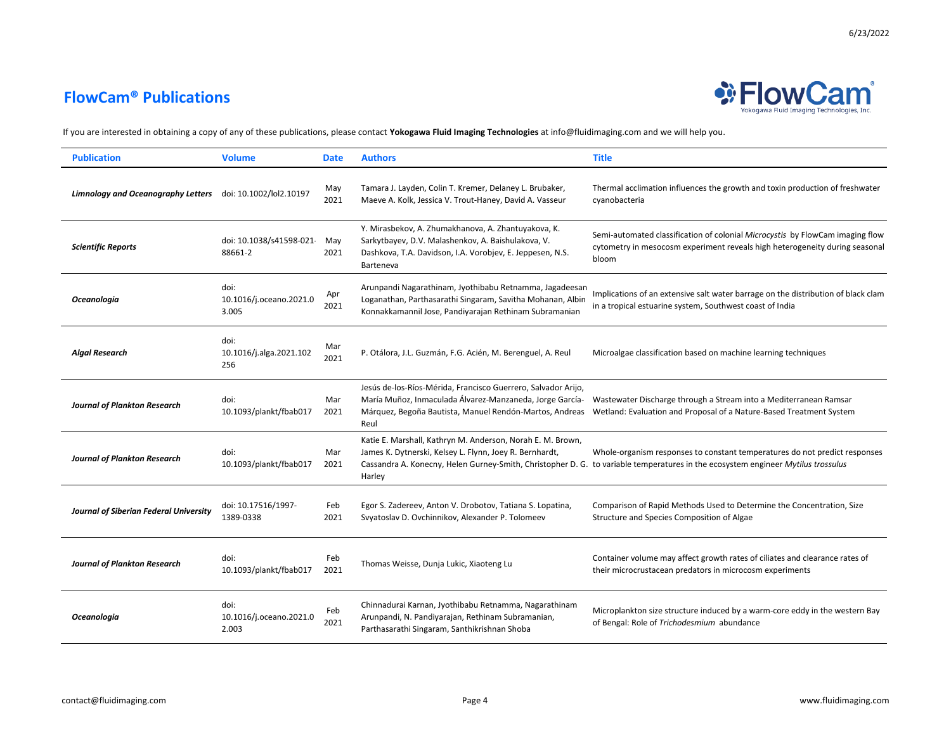

| <b>Publication</b>                                         | <b>Volume</b>                            | <b>Date</b> | <b>Authors</b>                                                                                                                                                                               | <b>Title</b>                                                                                                                                                                                                   |
|------------------------------------------------------------|------------------------------------------|-------------|----------------------------------------------------------------------------------------------------------------------------------------------------------------------------------------------|----------------------------------------------------------------------------------------------------------------------------------------------------------------------------------------------------------------|
| Limnology and Oceanography Letters doi: 10.1002/lol2.10197 |                                          | May<br>2021 | Tamara J. Layden, Colin T. Kremer, Delaney L. Brubaker,<br>Maeve A. Kolk, Jessica V. Trout-Haney, David A. Vasseur                                                                           | Thermal acclimation influences the growth and toxin production of freshwater<br>cyanobacteria                                                                                                                  |
| <b>Scientific Reports</b>                                  | doi: 10.1038/s41598-021<br>88661-2       | May<br>2021 | Y. Mirasbekov, A. Zhumakhanova, A. Zhantuyakova, K.<br>Sarkytbayev, D.V. Malashenkov, A. Baishulakova, V.<br>Dashkova, T.A. Davidson, I.A. Vorobjev, E. Jeppesen, N.S.<br>Barteneva          | Semi-automated classification of colonial Microcystis by FlowCam imaging flow<br>cytometry in mesocosm experiment reveals high heterogeneity during seasonal<br>bloom                                          |
| <b>Oceanologia</b>                                         | doi:<br>10.1016/j.oceano.2021.0<br>3.005 | Apr<br>2021 | Arunpandi Nagarathinam, Jyothibabu Retnamma, Jagadeesan<br>Loganathan, Parthasarathi Singaram, Savitha Mohanan, Albin<br>Konnakkamannil Jose, Pandiyarajan Rethinam Subramanian              | Implications of an extensive salt water barrage on the distribution of black clam<br>in a tropical estuarine system, Southwest coast of India                                                                  |
| <b>Algal Research</b>                                      | doi:<br>10.1016/j.alga.2021.102<br>256   | Mar<br>2021 | P. Otálora, J.L. Guzmán, F.G. Acién, M. Berenguel, A. Reul                                                                                                                                   | Microalgae classification based on machine learning techniques                                                                                                                                                 |
| <b>Journal of Plankton Research</b>                        | doi:<br>10.1093/plankt/fbab017           | Mar<br>2021 | Jesús de-los-Ríos-Mérida, Francisco Guerrero, Salvador Arijo,<br>María Muñoz, Inmaculada Álvarez-Manzaneda, Jorge García-<br>Márquez, Begoña Bautista, Manuel Rendón-Martos, Andreas<br>Reul | Wastewater Discharge through a Stream into a Mediterranean Ramsar<br>Wetland: Evaluation and Proposal of a Nature-Based Treatment System                                                                       |
| <b>Journal of Plankton Research</b>                        | doi:<br>10.1093/plankt/fbab017           | Mar<br>2021 | Katie E. Marshall, Kathryn M. Anderson, Norah E. M. Brown,<br>James K. Dytnerski, Kelsey L. Flynn, Joey R. Bernhardt,<br>Harley                                                              | Whole-organism responses to constant temperatures do not predict responses<br>Cassandra A. Konecny, Helen Gurney-Smith, Christopher D. G. to variable temperatures in the ecosystem engineer Mytilus trossulus |
| Journal of Siberian Federal University                     | doi: 10.17516/1997-<br>1389-0338         | Feb<br>2021 | Egor S. Zadereev, Anton V. Drobotov, Tatiana S. Lopatina,<br>Svyatoslav D. Ovchinnikov, Alexander P. Tolomeev                                                                                | Comparison of Rapid Methods Used to Determine the Concentration, Size<br>Structure and Species Composition of Algae                                                                                            |
| <b>Journal of Plankton Research</b>                        | doi:<br>10.1093/plankt/fbab017           | Feb<br>2021 | Thomas Weisse, Dunja Lukic, Xiaoteng Lu                                                                                                                                                      | Container volume may affect growth rates of ciliates and clearance rates of<br>their microcrustacean predators in microcosm experiments                                                                        |
| <b>Oceanologia</b>                                         | doi:<br>10.1016/j.oceano.2021.0<br>2.003 | Feb<br>2021 | Chinnadurai Karnan, Jyothibabu Retnamma, Nagarathinam<br>Arunpandi, N. Pandiyarajan, Rethinam Subramanian,<br>Parthasarathi Singaram, Santhikrishnan Shoba                                   | Microplankton size structure induced by a warm-core eddy in the western Bay<br>of Bengal: Role of Trichodesmium abundance                                                                                      |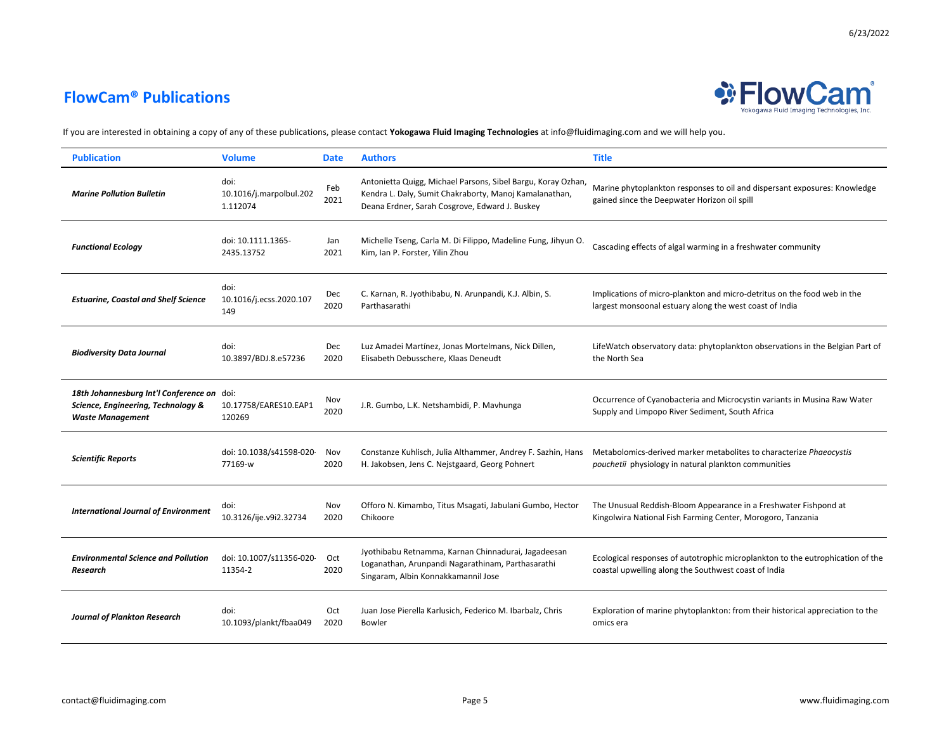## **FlowCam® Publications**



6/23/2022

| <b>Publication</b>                                                                                          | <b>Volume</b>                               | <b>Date</b> | <b>Authors</b>                                                                                                                                                           | <b>Title</b>                                                                                                                           |
|-------------------------------------------------------------------------------------------------------------|---------------------------------------------|-------------|--------------------------------------------------------------------------------------------------------------------------------------------------------------------------|----------------------------------------------------------------------------------------------------------------------------------------|
| <b>Marine Pollution Bulletin</b>                                                                            | doi:<br>10.1016/j.marpolbul.202<br>1.112074 | Feb<br>2021 | Antonietta Quigg, Michael Parsons, Sibel Bargu, Koray Ozhan,<br>Kendra L. Daly, Sumit Chakraborty, Manoj Kamalanathan,<br>Deana Erdner, Sarah Cosgrove, Edward J. Buskey | Marine phytoplankton responses to oil and dispersant exposures: Knowledge<br>gained since the Deepwater Horizon oil spill              |
| <b>Functional Ecology</b>                                                                                   | doi: 10.1111.1365-<br>2435.13752            | Jan<br>2021 | Michelle Tseng, Carla M. Di Filippo, Madeline Fung, Jihyun O.<br>Kim, Ian P. Forster, Yilin Zhou                                                                         | Cascading effects of algal warming in a freshwater community                                                                           |
| <b>Estuarine, Coastal and Shelf Science</b>                                                                 | doi:<br>10.1016/j.ecss.2020.107<br>149      | Dec<br>2020 | C. Karnan, R. Jyothibabu, N. Arunpandi, K.J. Albin, S.<br>Parthasarathi                                                                                                  | Implications of micro-plankton and micro-detritus on the food web in the<br>largest monsoonal estuary along the west coast of India    |
| <b>Biodiversity Data Journal</b>                                                                            | doi:<br>10.3897/BDJ.8.e57236                | Dec<br>2020 | Luz Amadei Martínez, Jonas Mortelmans, Nick Dillen,<br>Elisabeth Debusschere, Klaas Deneudt                                                                              | LifeWatch observatory data: phytoplankton observations in the Belgian Part of<br>the North Sea                                         |
| 18th Johannesburg Int'l Conference on doi:<br>Science, Engineering, Technology &<br><b>Waste Management</b> | 10.17758/EARES10.EAP1<br>120269             | Nov<br>2020 | J.R. Gumbo, L.K. Netshambidi, P. Mavhunga                                                                                                                                | Occurrence of Cyanobacteria and Microcystin variants in Musina Raw Water<br>Supply and Limpopo River Sediment, South Africa            |
| <b>Scientific Reports</b>                                                                                   | doi: 10.1038/s41598-020<br>77169-w          | Nov<br>2020 | Constanze Kuhlisch, Julia Althammer, Andrey F. Sazhin, Hans<br>H. Jakobsen, Jens C. Nejstgaard, Georg Pohnert                                                            | Metabolomics-derived marker metabolites to characterize Phaeocystis<br><i>pouchetii</i> physiology in natural plankton communities     |
| <b>International Journal of Environment</b>                                                                 | doi:<br>10.3126/ije.v9i2.32734              | Nov<br>2020 | Offoro N. Kimambo, Titus Msagati, Jabulani Gumbo, Hector<br>Chikoore                                                                                                     | The Unusual Reddish-Bloom Appearance in a Freshwater Fishpond at<br>Kingolwira National Fish Farming Center, Morogoro, Tanzania        |
| <b>Environmental Science and Pollution</b><br>Research                                                      | doi: 10.1007/s11356-020<br>11354-2          | Oct<br>2020 | Jyothibabu Retnamma, Karnan Chinnadurai, Jagadeesan<br>Loganathan, Arunpandi Nagarathinam, Parthasarathi<br>Singaram, Albin Konnakkamannil Jose                          | Ecological responses of autotrophic microplankton to the eutrophication of the<br>coastal upwelling along the Southwest coast of India |
| Journal of Plankton Research                                                                                | doi:<br>10.1093/plankt/fbaa049              | Oct<br>2020 | Juan Jose Pierella Karlusich, Federico M. Ibarbalz, Chris<br>Bowler                                                                                                      | Exploration of marine phytoplankton: from their historical appreciation to the<br>omics era                                            |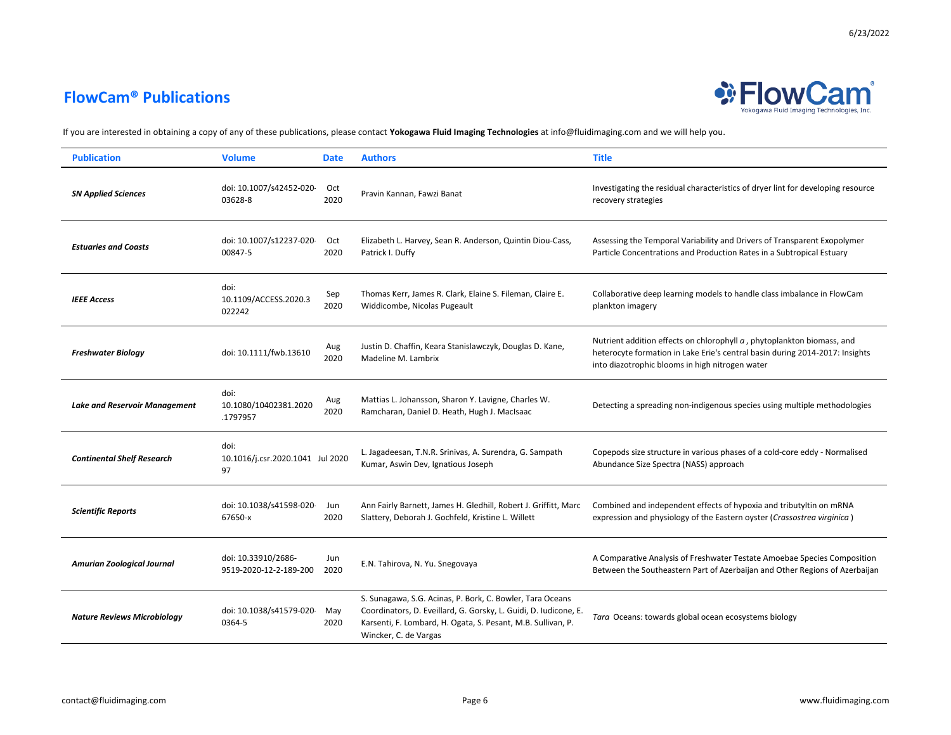

| <b>Publication</b>                   | <b>Volume</b>                                  | <b>Date</b> | <b>Authors</b>                                                                                                                                                                                                         | <b>Title</b>                                                                                                                                                                                              |
|--------------------------------------|------------------------------------------------|-------------|------------------------------------------------------------------------------------------------------------------------------------------------------------------------------------------------------------------------|-----------------------------------------------------------------------------------------------------------------------------------------------------------------------------------------------------------|
| <b>SN Applied Sciences</b>           | doi: 10.1007/s42452-020<br>03628-8             | Oct<br>2020 | Pravin Kannan, Fawzi Banat                                                                                                                                                                                             | Investigating the residual characteristics of dryer lint for developing resource<br>recovery strategies                                                                                                   |
| <b>Estuaries and Coasts</b>          | doi: 10.1007/s12237-020<br>00847-5             | Oct<br>2020 | Elizabeth L. Harvey, Sean R. Anderson, Quintin Diou-Cass,<br>Patrick I. Duffy                                                                                                                                          | Assessing the Temporal Variability and Drivers of Transparent Exopolymer<br>Particle Concentrations and Production Rates in a Subtropical Estuary                                                         |
| <b>IEEE Access</b>                   | doi:<br>10.1109/ACCESS.2020.3<br>022242        | Sep<br>2020 | Thomas Kerr, James R. Clark, Elaine S. Fileman, Claire E.<br>Widdicombe, Nicolas Pugeault                                                                                                                              | Collaborative deep learning models to handle class imbalance in FlowCam<br>plankton imagery                                                                                                               |
| <b>Freshwater Biology</b>            | doi: 10.1111/fwb.13610                         | Aug<br>2020 | Justin D. Chaffin, Keara Stanislawczyk, Douglas D. Kane,<br>Madeline M. Lambrix                                                                                                                                        | Nutrient addition effects on chlorophyll a, phytoplankton biomass, and<br>heterocyte formation in Lake Erie's central basin during 2014-2017: Insights<br>into diazotrophic blooms in high nitrogen water |
| <b>Lake and Reservoir Management</b> | doi:<br>10.1080/10402381.2020<br>.1797957      | Aug<br>2020 | Mattias L. Johansson, Sharon Y. Lavigne, Charles W.<br>Ramcharan, Daniel D. Heath, Hugh J. MacIsaac                                                                                                                    | Detecting a spreading non-indigenous species using multiple methodologies                                                                                                                                 |
| <b>Continental Shelf Research</b>    | doi:<br>10.1016/j.csr.2020.1041 Jul 2020<br>97 |             | L. Jagadeesan, T.N.R. Srinivas, A. Surendra, G. Sampath<br>Kumar, Aswin Dev, Ignatious Joseph                                                                                                                          | Copepods size structure in various phases of a cold-core eddy - Normalised<br>Abundance Size Spectra (NASS) approach                                                                                      |
| <b>Scientific Reports</b>            | doi: 10.1038/s41598-020<br>67650-x             | Jun<br>2020 | Ann Fairly Barnett, James H. Gledhill, Robert J. Griffitt, Marc<br>Slattery, Deborah J. Gochfeld, Kristine L. Willett                                                                                                  | Combined and independent effects of hypoxia and tributyltin on mRNA<br>expression and physiology of the Eastern oyster (Crassostrea virginica)                                                            |
| <b>Amurian Zoological Journal</b>    | doi: 10.33910/2686-<br>9519-2020-12-2-189-200  | Jun<br>2020 | E.N. Tahirova, N. Yu. Snegovaya                                                                                                                                                                                        | A Comparative Analysis of Freshwater Testate Amoebae Species Composition<br>Between the Southeastern Part of Azerbaijan and Other Regions of Azerbaijan                                                   |
| <b>Nature Reviews Microbiology</b>   | doi: 10.1038/s41579-020<br>0364-5              | May<br>2020 | S. Sunagawa, S.G. Acinas, P. Bork, C. Bowler, Tara Oceans<br>Coordinators, D. Eveillard, G. Gorsky, L. Guidi, D. Iudicone, E.<br>Karsenti, F. Lombard, H. Ogata, S. Pesant, M.B. Sullivan, P.<br>Wincker, C. de Vargas | Tara Oceans: towards global ocean ecosystems biology                                                                                                                                                      |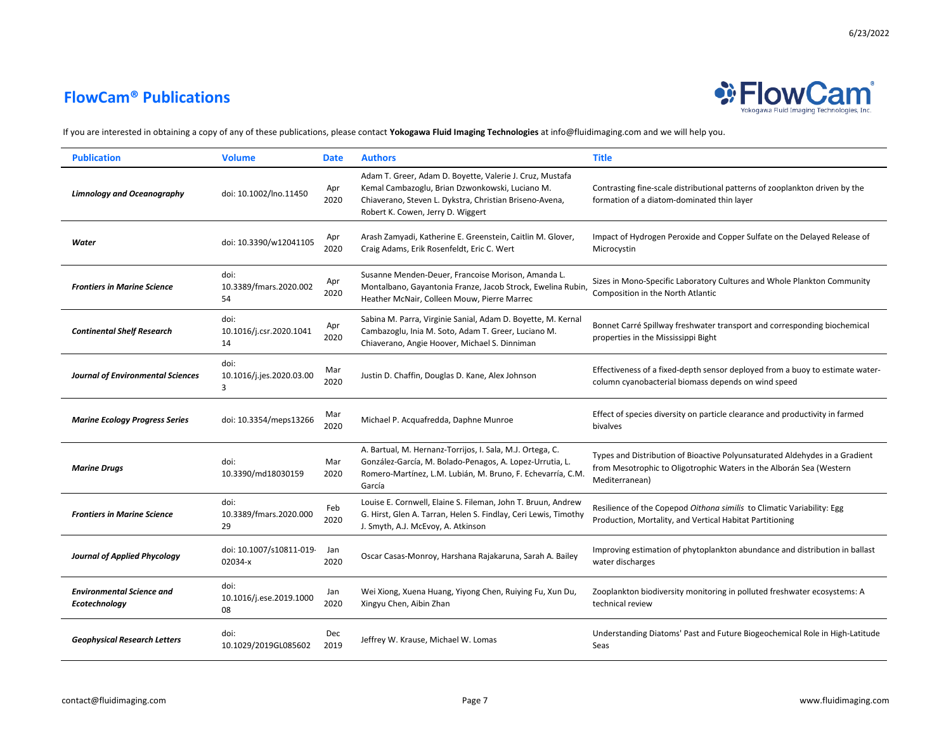

| <b>Publication</b>                                | <b>Volume</b>                         | <b>Date</b> | <b>Authors</b>                                                                                                                                                                                              | <b>Title</b>                                                                                                                                                         |
|---------------------------------------------------|---------------------------------------|-------------|-------------------------------------------------------------------------------------------------------------------------------------------------------------------------------------------------------------|----------------------------------------------------------------------------------------------------------------------------------------------------------------------|
| <b>Limnology and Oceanography</b>                 | doi: 10.1002/lno.11450                | Apr<br>2020 | Adam T. Greer, Adam D. Boyette, Valerie J. Cruz, Mustafa<br>Kemal Cambazoglu, Brian Dzwonkowski, Luciano M.<br>Chiaverano, Steven L. Dykstra, Christian Briseno-Avena,<br>Robert K. Cowen, Jerry D. Wiggert | Contrasting fine-scale distributional patterns of zooplankton driven by the<br>formation of a diatom-dominated thin layer                                            |
| Water                                             | doi: 10.3390/w12041105                | Apr<br>2020 | Arash Zamyadi, Katherine E. Greenstein, Caitlin M. Glover,<br>Craig Adams, Erik Rosenfeldt, Eric C. Wert                                                                                                    | Impact of Hydrogen Peroxide and Copper Sulfate on the Delayed Release of<br>Microcystin                                                                              |
| <b>Frontiers in Marine Science</b>                | doi:<br>10.3389/fmars.2020.002<br>54  | Apr<br>2020 | Susanne Menden-Deuer, Francoise Morison, Amanda L.<br>Montalbano, Gayantonia Franze, Jacob Strock, Ewelina Rubin,<br>Heather McNair, Colleen Mouw, Pierre Marrec                                            | Sizes in Mono-Specific Laboratory Cultures and Whole Plankton Community<br>Composition in the North Atlantic                                                         |
| <b>Continental Shelf Research</b>                 | doi:<br>10.1016/j.csr.2020.1041<br>14 | Apr<br>2020 | Sabina M. Parra, Virginie Sanial, Adam D. Boyette, M. Kernal<br>Cambazoglu, Inia M. Soto, Adam T. Greer, Luciano M.<br>Chiaverano, Angie Hoover, Michael S. Dinniman                                        | Bonnet Carré Spillway freshwater transport and corresponding biochemical<br>properties in the Mississippi Bight                                                      |
| <b>Journal of Environmental Sciences</b>          | doi:<br>10.1016/j.jes.2020.03.00<br>3 | Mar<br>2020 | Justin D. Chaffin, Douglas D. Kane, Alex Johnson                                                                                                                                                            | Effectiveness of a fixed-depth sensor deployed from a buoy to estimate water-<br>column cyanobacterial biomass depends on wind speed                                 |
| <b>Marine Ecology Progress Series</b>             | doi: 10.3354/meps13266                | Mar<br>2020 | Michael P. Acquafredda, Daphne Munroe                                                                                                                                                                       | Effect of species diversity on particle clearance and productivity in farmed<br>bivalves                                                                             |
| <b>Marine Drugs</b>                               | doi:<br>10.3390/md18030159            | Mar<br>2020 | A. Bartual, M. Hernanz-Torrijos, I. Sala, M.J. Ortega, C.<br>González-García, M. Bolado-Penagos, A. Lopez-Urrutia, L.<br>Romero-Martínez, L.M. Lubián, M. Bruno, F. Echevarría, C.M.<br>García              | Types and Distribution of Bioactive Polyunsaturated Aldehydes in a Gradient<br>from Mesotrophic to Oligotrophic Waters in the Alborán Sea (Western<br>Mediterranean) |
| <b>Frontiers in Marine Science</b>                | doi:<br>10.3389/fmars.2020.000<br>29  | Feb<br>2020 | Louise E. Cornwell, Elaine S. Fileman, John T. Bruun, Andrew<br>G. Hirst, Glen A. Tarran, Helen S. Findlay, Ceri Lewis, Timothy<br>J. Smyth, A.J. McEvoy, A. Atkinson                                       | Resilience of the Copepod Oithona similis to Climatic Variability: Egg<br>Production, Mortality, and Vertical Habitat Partitioning                                   |
| <b>Journal of Applied Phycology</b>               | doi: 10.1007/s10811-019<br>02034-x    | Jan<br>2020 | Oscar Casas-Monroy, Harshana Rajakaruna, Sarah A. Bailey                                                                                                                                                    | Improving estimation of phytoplankton abundance and distribution in ballast<br>water discharges                                                                      |
| <b>Environmental Science and</b><br>Ecotechnology | doi:<br>10.1016/j.ese.2019.1000<br>08 | Jan<br>2020 | Wei Xiong, Xuena Huang, Yiyong Chen, Ruiying Fu, Xun Du,<br>Xingyu Chen, Aibin Zhan                                                                                                                         | Zooplankton biodiversity monitoring in polluted freshwater ecosystems: A<br>technical review                                                                         |
| <b>Geophysical Research Letters</b>               | doi:<br>10.1029/2019GL085602          | Dec<br>2019 | Jeffrey W. Krause, Michael W. Lomas                                                                                                                                                                         | Understanding Diatoms' Past and Future Biogeochemical Role in High-Latitude<br>Seas                                                                                  |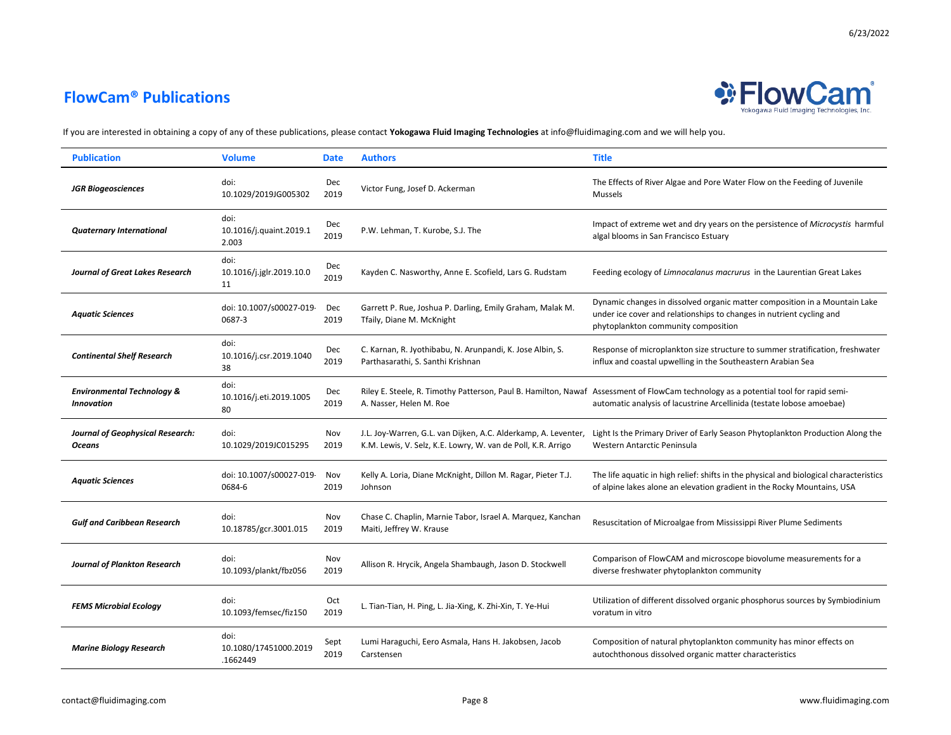## **FlowCam® Publications**



| <b>Publication</b>                                         | <b>Volume</b>                             | <b>Date</b>  | <b>Authors</b>                                                                                                                 | <b>Title</b>                                                                                                                                                                                                 |
|------------------------------------------------------------|-------------------------------------------|--------------|--------------------------------------------------------------------------------------------------------------------------------|--------------------------------------------------------------------------------------------------------------------------------------------------------------------------------------------------------------|
| <b>JGR Biogeosciences</b>                                  | doi:<br>10.1029/2019JG005302              | Dec<br>2019  | Victor Fung, Josef D. Ackerman                                                                                                 | The Effects of River Algae and Pore Water Flow on the Feeding of Juvenile<br>Mussels                                                                                                                         |
| <b>Quaternary International</b>                            | doi:<br>10.1016/j.quaint.2019.1<br>2.003  | Dec<br>2019  | P.W. Lehman, T. Kurobe, S.J. The                                                                                               | Impact of extreme wet and dry years on the persistence of Microcystis harmful<br>algal blooms in San Francisco Estuary                                                                                       |
| <b>Journal of Great Lakes Research</b>                     | doi:<br>10.1016/j.jglr.2019.10.0<br>11    | Dec<br>2019  | Kayden C. Nasworthy, Anne E. Scofield, Lars G. Rudstam                                                                         | Feeding ecology of Limnocalanus macrurus in the Laurentian Great Lakes                                                                                                                                       |
| <b>Aquatic Sciences</b>                                    | doi: 10.1007/s00027-019<br>0687-3         | Dec<br>2019  | Garrett P. Rue, Joshua P. Darling, Emily Graham, Malak M.<br>Tfaily, Diane M. McKnight                                         | Dynamic changes in dissolved organic matter composition in a Mountain Lake<br>under ice cover and relationships to changes in nutrient cycling and<br>phytoplankton community composition                    |
| <b>Continental Shelf Research</b>                          | doi:<br>10.1016/j.csr.2019.1040<br>38     | Dec<br>2019  | C. Karnan, R. Jyothibabu, N. Arunpandi, K. Jose Albin, S.<br>Parthasarathi, S. Santhi Krishnan                                 | Response of microplankton size structure to summer stratification, freshwater<br>influx and coastal upwelling in the Southeastern Arabian Sea                                                                |
| <b>Environmental Technology &amp;</b><br><b>Innovation</b> | doi:<br>10.1016/j.eti.2019.1005<br>80     | Dec<br>2019  | A. Nasser, Helen M. Roe                                                                                                        | Riley E. Steele, R. Timothy Patterson, Paul B. Hamilton, Nawaf Assessment of FlowCam technology as a potential tool for rapid semi-<br>automatic analysis of lacustrine Arcellinida (testate lobose amoebae) |
| Journal of Geophysical Research:<br><b>Oceans</b>          | doi:<br>10.1029/2019JC015295              | Nov<br>2019  | J.L. Joy-Warren, G.L. van Dijken, A.C. Alderkamp, A. Leventer,<br>K.M. Lewis, V. Selz, K.E. Lowry, W. van de Poll, K.R. Arrigo | Light Is the Primary Driver of Early Season Phytoplankton Production Along the<br>Western Antarctic Peninsula                                                                                                |
| <b>Aquatic Sciences</b>                                    | doi: 10.1007/s00027-019<br>0684-6         | Nov<br>2019  | Kelly A. Loria, Diane McKnight, Dillon M. Ragar, Pieter T.J.<br>Johnson                                                        | The life aquatic in high relief: shifts in the physical and biological characteristics<br>of alpine lakes alone an elevation gradient in the Rocky Mountains, USA                                            |
| <b>Gulf and Caribbean Research</b>                         | doi:<br>10.18785/gcr.3001.015             | Nov<br>2019  | Chase C. Chaplin, Marnie Tabor, Israel A. Marquez, Kanchan<br>Maiti, Jeffrey W. Krause                                         | Resuscitation of Microalgae from Mississippi River Plume Sediments                                                                                                                                           |
| <b>Journal of Plankton Research</b>                        | doi:<br>10.1093/plankt/fbz056             | Nov<br>2019  | Allison R. Hrycik, Angela Shambaugh, Jason D. Stockwell                                                                        | Comparison of FlowCAM and microscope biovolume measurements for a<br>diverse freshwater phytoplankton community                                                                                              |
| <b>FEMS Microbial Ecology</b>                              | doi:<br>10.1093/femsec/fiz150             | Oct<br>2019  | L. Tian-Tian, H. Ping, L. Jia-Xing, K. Zhi-Xin, T. Ye-Hui                                                                      | Utilization of different dissolved organic phosphorus sources by Symbiodinium<br>voratum in vitro                                                                                                            |
| <b>Marine Biology Research</b>                             | doi:<br>10.1080/17451000.2019<br>.1662449 | Sept<br>2019 | Lumi Haraguchi, Eero Asmala, Hans H. Jakobsen, Jacob<br>Carstensen                                                             | Composition of natural phytoplankton community has minor effects on<br>autochthonous dissolved organic matter characteristics                                                                                |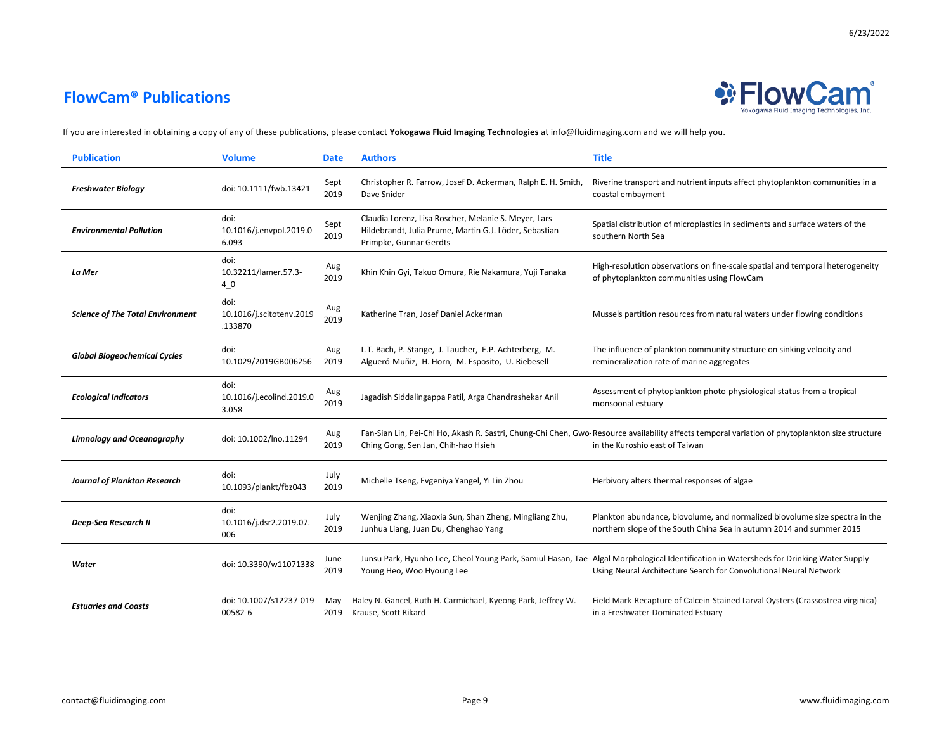

| <b>Publication</b>                      | <b>Volume</b>                               | <b>Date</b>  | <b>Authors</b>                                                                                                                           | <b>Title</b>                                                                                                                                                                                                 |
|-----------------------------------------|---------------------------------------------|--------------|------------------------------------------------------------------------------------------------------------------------------------------|--------------------------------------------------------------------------------------------------------------------------------------------------------------------------------------------------------------|
| <b>Freshwater Biology</b>               | doi: 10.1111/fwb.13421                      | Sept<br>2019 | Christopher R. Farrow, Josef D. Ackerman, Ralph E. H. Smith,<br>Dave Snider                                                              | Riverine transport and nutrient inputs affect phytoplankton communities in a<br>coastal embayment                                                                                                            |
| <b>Environmental Pollution</b>          | doi:<br>10.1016/j.envpol.2019.0<br>6.093    | Sept<br>2019 | Claudia Lorenz, Lisa Roscher, Melanie S. Meyer, Lars<br>Hildebrandt, Julia Prume, Martin G.J. Löder, Sebastian<br>Primpke, Gunnar Gerdts | Spatial distribution of microplastics in sediments and surface waters of the<br>southern North Sea                                                                                                           |
| La Mer                                  | doi:<br>10.32211/lamer.57.3-<br>4 0         | Aug<br>2019  | Khin Khin Gyi, Takuo Omura, Rie Nakamura, Yuji Tanaka                                                                                    | High-resolution observations on fine-scale spatial and temporal heterogeneity<br>of phytoplankton communities using FlowCam                                                                                  |
| <b>Science of The Total Environment</b> | doi:<br>10.1016/j.scitotenv.2019<br>.133870 | Aug<br>2019  | Katherine Tran, Josef Daniel Ackerman                                                                                                    | Mussels partition resources from natural waters under flowing conditions                                                                                                                                     |
| <b>Global Biogeochemical Cycles</b>     | doi:<br>10.1029/2019GB006256                | Aug<br>2019  | L.T. Bach, P. Stange, J. Taucher, E.P. Achterberg, M.<br>Algueró-Muñiz, H. Horn, M. Esposito, U. Riebesell                               | The influence of plankton community structure on sinking velocity and<br>remineralization rate of marine aggregates                                                                                          |
| <b>Ecological Indicators</b>            | doi:<br>10.1016/j.ecolind.2019.0<br>3.058   | Aug<br>2019  | Jagadish Siddalingappa Patil, Arga Chandrashekar Anil                                                                                    | Assessment of phytoplankton photo-physiological status from a tropical<br>monsoonal estuary                                                                                                                  |
| <b>Limnology and Oceanography</b>       | doi: 10.1002/lno.11294                      | Aug<br>2019  | Ching Gong, Sen Jan, Chih-hao Hsieh                                                                                                      | Fan-Sian Lin, Pei-Chi Ho, Akash R. Sastri, Chung-Chi Chen, Gwo Resource availability affects temporal variation of phytoplankton size structure<br>in the Kuroshio east of Taiwan                            |
| <b>Journal of Plankton Research</b>     | doi:<br>10.1093/plankt/fbz043               | July<br>2019 | Michelle Tseng, Evgeniya Yangel, Yi Lin Zhou                                                                                             | Herbivory alters thermal responses of algae                                                                                                                                                                  |
| <b>Deep-Sea Research II</b>             | doi:<br>10.1016/j.dsr2.2019.07.<br>006      | July<br>2019 | Wenjing Zhang, Xiaoxia Sun, Shan Zheng, Mingliang Zhu,<br>Junhua Liang, Juan Du, Chenghao Yang                                           | Plankton abundance, biovolume, and normalized biovolume size spectra in the<br>northern slope of the South China Sea in autumn 2014 and summer 2015                                                          |
| Water                                   | doi: 10.3390/w11071338                      | June<br>2019 | Young Heo, Woo Hyoung Lee                                                                                                                | Junsu Park, Hyunho Lee, Cheol Young Park, Samiul Hasan, Tae- Algal Morphological Identification in Watersheds for Drinking Water Supply<br>Using Neural Architecture Search for Convolutional Neural Network |
| <b>Estuaries and Coasts</b>             | doi: 10.1007/s12237-019<br>00582-6          | May<br>2019  | Haley N. Gancel, Ruth H. Carmichael, Kyeong Park, Jeffrey W.<br>Krause, Scott Rikard                                                     | Field Mark-Recapture of Calcein-Stained Larval Oysters (Crassostrea virginica)<br>in a Freshwater-Dominated Estuary                                                                                          |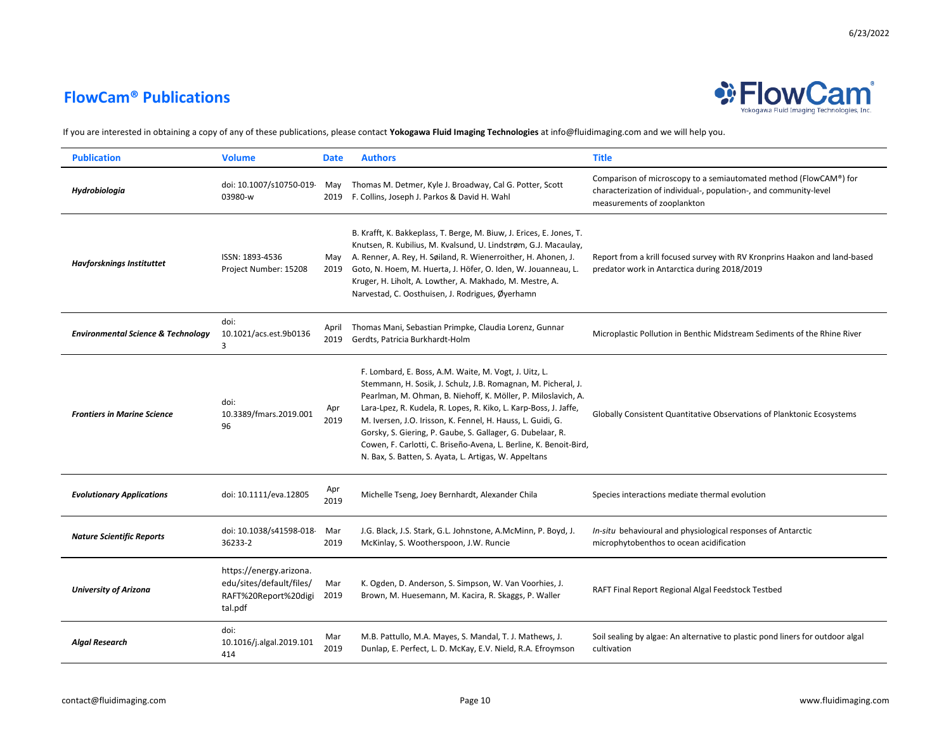

Yokogawa Fluid Imaging Technologies, Inc.

| <b>Publication</b>                            | <b>Volume</b>                                                                          | <b>Date</b>   | <b>Authors</b>                                                                                                                                                                                                                                                                                                                                                                                                                                                                                                         | <b>Title</b>                                                                                                                                                          |
|-----------------------------------------------|----------------------------------------------------------------------------------------|---------------|------------------------------------------------------------------------------------------------------------------------------------------------------------------------------------------------------------------------------------------------------------------------------------------------------------------------------------------------------------------------------------------------------------------------------------------------------------------------------------------------------------------------|-----------------------------------------------------------------------------------------------------------------------------------------------------------------------|
| Hydrobiologia                                 | doi: 10.1007/s10750-019<br>03980-w                                                     | May<br>2019   | Thomas M. Detmer, Kyle J. Broadway, Cal G. Potter, Scott<br>F. Collins, Joseph J. Parkos & David H. Wahl                                                                                                                                                                                                                                                                                                                                                                                                               | Comparison of microscopy to a semiautomated method (FlowCAM®) for<br>characterization of individual-, population-, and community-level<br>measurements of zooplankton |
| <b>Havforsknings Instituttet</b>              | ISSN: 1893-4536<br>Project Number: 15208                                               | Mav<br>2019   | B. Krafft, K. Bakkeplass, T. Berge, M. Biuw, J. Erices, E. Jones, T.<br>Knutsen, R. Kubilius, M. Kvalsund, U. Lindstrøm, G.J. Macaulay,<br>A. Renner, A. Rey, H. Søiland, R. Wienerroither, H. Ahonen, J.<br>Goto, N. Hoem, M. Huerta, J. Höfer, O. Iden, W. Jouanneau, L.<br>Kruger, H. Liholt, A. Lowther, A. Makhado, M. Mestre, A.<br>Narvestad, C. Oosthuisen, J. Rodrigues, Øyerhamn                                                                                                                             | Report from a krill focused survey with RV Kronprins Haakon and land-based<br>predator work in Antarctica during 2018/2019                                            |
| <b>Environmental Science &amp; Technology</b> | doi:<br>10.1021/acs.est.9b0136<br>3                                                    | April<br>2019 | Thomas Mani, Sebastian Primpke, Claudia Lorenz, Gunnar<br>Gerdts, Patricia Burkhardt-Holm                                                                                                                                                                                                                                                                                                                                                                                                                              | Microplastic Pollution in Benthic Midstream Sediments of the Rhine River                                                                                              |
| <b>Frontiers in Marine Science</b>            | doi:<br>10.3389/fmars.2019.001<br>96                                                   | Apr<br>2019   | F. Lombard, E. Boss, A.M. Waite, M. Vogt, J. Uitz, L.<br>Stemmann, H. Sosik, J. Schulz, J.B. Romagnan, M. Picheral, J.<br>Pearlman, M. Ohman, B. Niehoff, K. Möller, P. Miloslavich, A.<br>Lara-Lpez, R. Kudela, R. Lopes, R. Kiko, L. Karp-Boss, J. Jaffe,<br>M. Iversen, J.O. Irisson, K. Fennel, H. Hauss, L. Guidi, G.<br>Gorsky, S. Giering, P. Gaube, S. Gallager, G. Dubelaar, R.<br>Cowen, F. Carlotti, C. Briseño-Avena, L. Berline, K. Benoit-Bird,<br>N. Bax, S. Batten, S. Ayata, L. Artigas, W. Appeltans | Globally Consistent Quantitative Observations of Planktonic Ecosystems                                                                                                |
| <b>Evolutionary Applications</b>              | doi: 10.1111/eva.12805                                                                 | Apr<br>2019   | Michelle Tseng, Joey Bernhardt, Alexander Chila                                                                                                                                                                                                                                                                                                                                                                                                                                                                        | Species interactions mediate thermal evolution                                                                                                                        |
| <b>Nature Scientific Reports</b>              | doi: 10.1038/s41598-018<br>36233-2                                                     | Mar<br>2019   | J.G. Black, J.S. Stark, G.L. Johnstone, A.McMinn, P. Boyd, J.<br>McKinlay, S. Wootherspoon, J.W. Runcie                                                                                                                                                                                                                                                                                                                                                                                                                | In-situ behavioural and physiological responses of Antarctic<br>microphytobenthos to ocean acidification                                                              |
| <b>University of Arizona</b>                  | https://energy.arizona.<br>edu/sites/default/files/<br>RAFT%20Report%20digi<br>tal.pdf | Mar<br>2019   | K. Ogden, D. Anderson, S. Simpson, W. Van Voorhies, J.<br>Brown, M. Huesemann, M. Kacira, R. Skaggs, P. Waller                                                                                                                                                                                                                                                                                                                                                                                                         | RAFT Final Report Regional Algal Feedstock Testbed                                                                                                                    |
| <b>Algal Research</b>                         | doi:<br>10.1016/j.algal.2019.101<br>414                                                | Mar<br>2019   | M.B. Pattullo, M.A. Mayes, S. Mandal, T. J. Mathews, J.<br>Dunlap, E. Perfect, L. D. McKay, E.V. Nield, R.A. Efroymson                                                                                                                                                                                                                                                                                                                                                                                                 | Soil sealing by algae: An alternative to plastic pond liners for outdoor algal<br>cultivation                                                                         |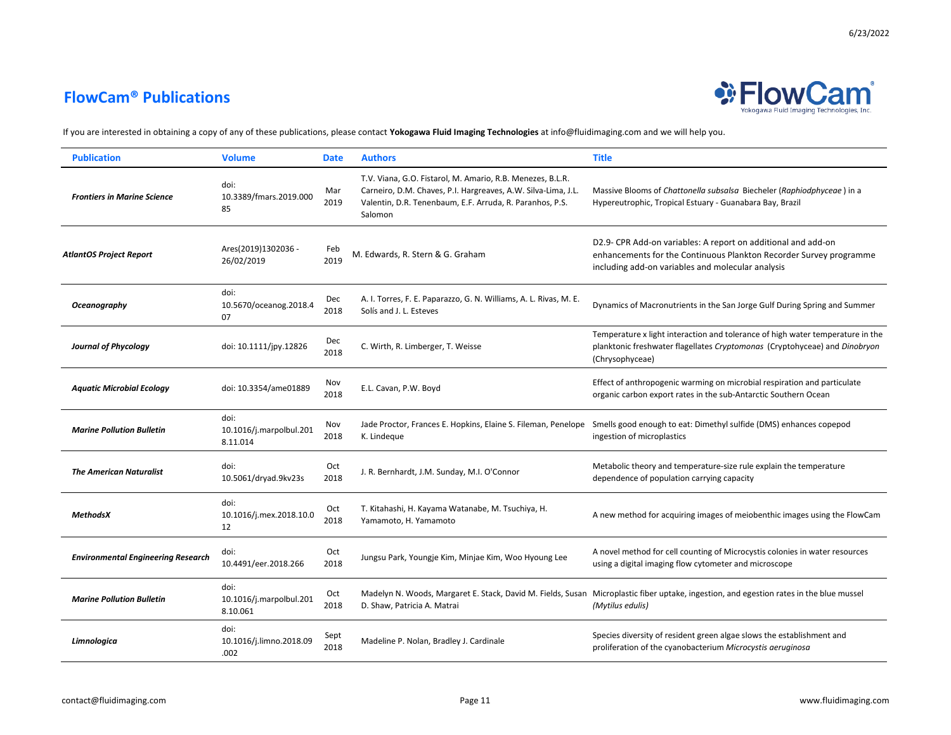

| <b>Publication</b>                        | <b>Volume</b>                               | <b>Date</b>  | <b>Authors</b>                                                                                                                                                                                     | <b>Title</b>                                                                                                                                                                             |
|-------------------------------------------|---------------------------------------------|--------------|----------------------------------------------------------------------------------------------------------------------------------------------------------------------------------------------------|------------------------------------------------------------------------------------------------------------------------------------------------------------------------------------------|
| <b>Frontiers in Marine Science</b>        | doi:<br>10.3389/fmars.2019.000<br>85        | Mar<br>2019  | T.V. Viana, G.O. Fistarol, M. Amario, R.B. Menezes, B.L.R.<br>Carneiro, D.M. Chaves, P.I. Hargreaves, A.W. Silva-Lima, J.L.<br>Valentin, D.R. Tenenbaum, E.F. Arruda, R. Paranhos, P.S.<br>Salomon | Massive Blooms of Chattonella subsalsa Biecheler (Raphiodphyceae) in a<br>Hypereutrophic, Tropical Estuary - Guanabara Bay, Brazil                                                       |
| <b>AtlantOS Project Report</b>            | Ares(2019)1302036 -<br>26/02/2019           | Feb<br>2019  | M. Edwards, R. Stern & G. Graham                                                                                                                                                                   | D2.9- CPR Add-on variables: A report on additional and add-on<br>enhancements for the Continuous Plankton Recorder Survey programme<br>including add-on variables and molecular analysis |
| Oceanography                              | doi:<br>10.5670/oceanog.2018.4<br>07        | Dec<br>2018  | A. I. Torres, F. E. Paparazzo, G. N. Williams, A. L. Rivas, M. E.<br>Solís and J. L. Esteves                                                                                                       | Dynamics of Macronutrients in the San Jorge Gulf During Spring and Summer                                                                                                                |
| <b>Journal of Phycology</b>               | doi: 10.1111/jpy.12826                      | Dec<br>2018  | C. Wirth, R. Limberger, T. Weisse                                                                                                                                                                  | Temperature x light interaction and tolerance of high water temperature in the<br>planktonic freshwater flagellates Cryptomonas (Cryptohyceae) and Dinobryon<br>(Chrysophyceae)          |
| <b>Aquatic Microbial Ecology</b>          | doi: 10.3354/ame01889                       | Nov<br>2018  | E.L. Cavan, P.W. Boyd                                                                                                                                                                              | Effect of anthropogenic warming on microbial respiration and particulate<br>organic carbon export rates in the sub-Antarctic Southern Ocean                                              |
| <b>Marine Pollution Bulletin</b>          | doi:<br>10.1016/j.marpolbul.201<br>8.11.014 | Nov<br>2018  | K. Lindeque                                                                                                                                                                                        | Jade Proctor, Frances E. Hopkins, Elaine S. Fileman, Penelope Smells good enough to eat: Dimethyl sulfide (DMS) enhances copepod<br>ingestion of microplastics                           |
| <b>The American Naturalist</b>            | doi:<br>10.5061/dryad.9kv23s                | Oct<br>2018  | J. R. Bernhardt, J.M. Sunday, M.I. O'Connor                                                                                                                                                        | Metabolic theory and temperature-size rule explain the temperature<br>dependence of population carrying capacity                                                                         |
| <b>MethodsX</b>                           | doi:<br>10.1016/j.mex.2018.10.0<br>12       | Oct<br>2018  | T. Kitahashi, H. Kayama Watanabe, M. Tsuchiya, H.<br>Yamamoto, H. Yamamoto                                                                                                                         | A new method for acquiring images of meiobenthic images using the FlowCam                                                                                                                |
| <b>Environmental Engineering Research</b> | doi:<br>10.4491/eer.2018.266                | Oct<br>2018  | Jungsu Park, Youngje Kim, Minjae Kim, Woo Hyoung Lee                                                                                                                                               | A novel method for cell counting of Microcystis colonies in water resources<br>using a digital imaging flow cytometer and microscope                                                     |
| <b>Marine Pollution Bulletin</b>          | doi:<br>10.1016/j.marpolbul.201<br>8.10.061 | Oct<br>2018  | D. Shaw, Patricia A. Matrai                                                                                                                                                                        | Madelyn N. Woods, Margaret E. Stack, David M. Fields, Susan Microplastic fiber uptake, ingestion, and egestion rates in the blue mussel<br>(Mytilus edulis)                              |
| Limnologica                               | doi:<br>10.1016/j.limno.2018.09<br>.002     | Sept<br>2018 | Madeline P. Nolan, Bradley J. Cardinale                                                                                                                                                            | Species diversity of resident green algae slows the establishment and<br>proliferation of the cyanobacterium Microcystis aeruginosa                                                      |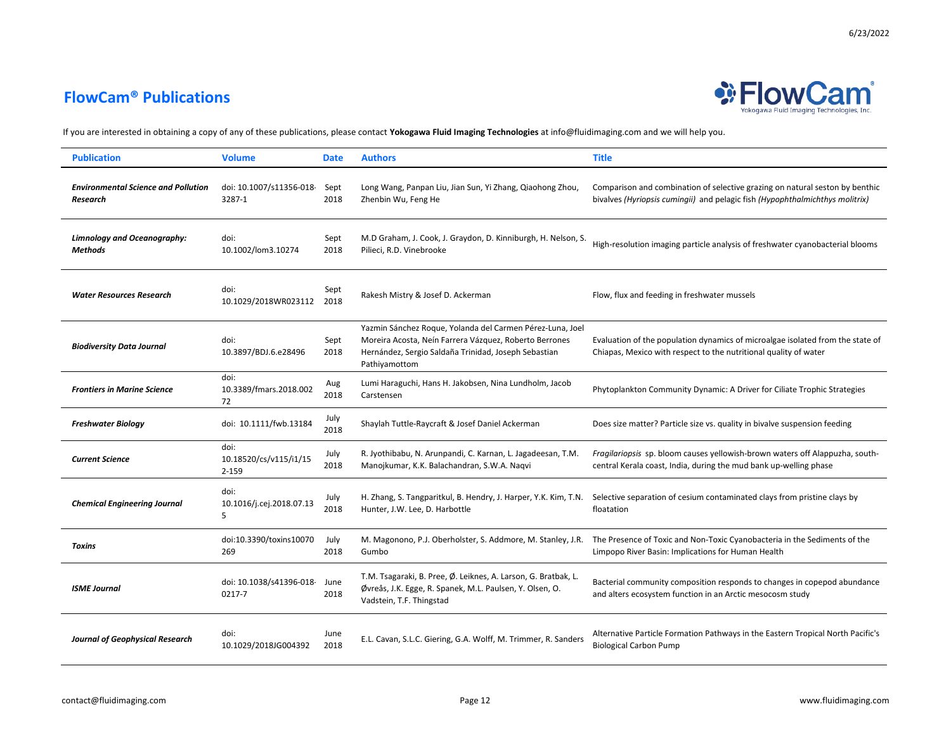

| <b>Publication</b>                                     | <b>Volume</b>                           | <b>Date</b>  | <b>Authors</b>                                                                                                                                                                               | <b>Title</b>                                                                                                                                                 |
|--------------------------------------------------------|-----------------------------------------|--------------|----------------------------------------------------------------------------------------------------------------------------------------------------------------------------------------------|--------------------------------------------------------------------------------------------------------------------------------------------------------------|
| <b>Environmental Science and Pollution</b><br>Research | doi: 10.1007/s11356-018<br>3287-1       | Sept<br>2018 | Long Wang, Panpan Liu, Jian Sun, Yi Zhang, Qiaohong Zhou,<br>Zhenbin Wu, Feng He                                                                                                             | Comparison and combination of selective grazing on natural seston by benthic<br>bivalves (Hyriopsis cumingii) and pelagic fish (Hypophthalmichthys molitrix) |
| Limnology and Oceanography:<br><b>Methods</b>          | doi:<br>10.1002/lom3.10274              | Sept<br>2018 | M.D Graham, J. Cook, J. Graydon, D. Kinniburgh, H. Nelson, S.<br>Pilieci, R.D. Vinebrooke                                                                                                    | High-resolution imaging particle analysis of freshwater cyanobacterial blooms                                                                                |
| <b>Water Resources Research</b>                        | doi:<br>10.1029/2018WR023112            | Sept<br>2018 | Rakesh Mistry & Josef D. Ackerman                                                                                                                                                            | Flow, flux and feeding in freshwater mussels                                                                                                                 |
| <b>Biodiversity Data Journal</b>                       | doi:<br>10.3897/BDJ.6.e28496            | Sept<br>2018 | Yazmin Sánchez Roque, Yolanda del Carmen Pérez-Luna, Joel<br>Moreira Acosta, Neín Farrera Vázquez, Roberto Berrones<br>Hernández, Sergio Saldaña Trinidad, Joseph Sebastian<br>Pathiyamottom | Evaluation of the population dynamics of microalgae isolated from the state of<br>Chiapas, Mexico with respect to the nutritional quality of water           |
| <b>Frontiers in Marine Science</b>                     | doi:<br>10.3389/fmars.2018.002<br>72    | Aug<br>2018  | Lumi Haraguchi, Hans H. Jakobsen, Nina Lundholm, Jacob<br>Carstensen                                                                                                                         | Phytoplankton Community Dynamic: A Driver for Ciliate Trophic Strategies                                                                                     |
| <b>Freshwater Biology</b>                              | doi: 10.1111/fwb.13184                  | July<br>2018 | Shaylah Tuttle-Raycraft & Josef Daniel Ackerman                                                                                                                                              | Does size matter? Particle size vs. quality in bivalve suspension feeding                                                                                    |
| <b>Current Science</b>                                 | doi:<br>10.18520/cs/v115/i1/15<br>2-159 | July<br>2018 | R. Jyothibabu, N. Arunpandi, C. Karnan, L. Jagadeesan, T.M.<br>Manojkumar, K.K. Balachandran, S.W.A. Naqvi                                                                                   | Fragilariopsis sp. bloom causes yellowish-brown waters off Alappuzha, south-<br>central Kerala coast, India, during the mud bank up-welling phase            |
| <b>Chemical Engineering Journal</b>                    | doi:<br>10.1016/j.cej.2018.07.13<br>5   | July<br>2018 | H. Zhang, S. Tangparitkul, B. Hendry, J. Harper, Y.K. Kim, T.N.<br>Hunter, J.W. Lee, D. Harbottle                                                                                            | Selective separation of cesium contaminated clays from pristine clays by<br>floatation                                                                       |
| <b>Toxins</b>                                          | doi:10.3390/toxins10070<br>269          | July<br>2018 | M. Magonono, P.J. Oberholster, S. Addmore, M. Stanley, J.R.<br>Gumbo                                                                                                                         | The Presence of Toxic and Non-Toxic Cyanobacteria in the Sediments of the<br>Limpopo River Basin: Implications for Human Health                              |
| <b>ISME Journal</b>                                    | doi: 10.1038/s41396-018<br>0217-7       | June<br>2018 | T.M. Tsagaraki, B. Pree, Ø. Leiknes, A. Larson, G. Bratbak, L.<br>Øvreås, J.K. Egge, R. Spanek, M.L. Paulsen, Y. Olsen, O.<br>Vadstein, T.F. Thingstad                                       | Bacterial community composition responds to changes in copepod abundance<br>and alters ecosystem function in an Arctic mesocosm study                        |
| <b>Journal of Geophysical Research</b>                 | doi:<br>10.1029/2018JG004392            | June<br>2018 | E.L. Cavan, S.L.C. Giering, G.A. Wolff, M. Trimmer, R. Sanders                                                                                                                               | Alternative Particle Formation Pathways in the Eastern Tropical North Pacific's<br><b>Biological Carbon Pump</b>                                             |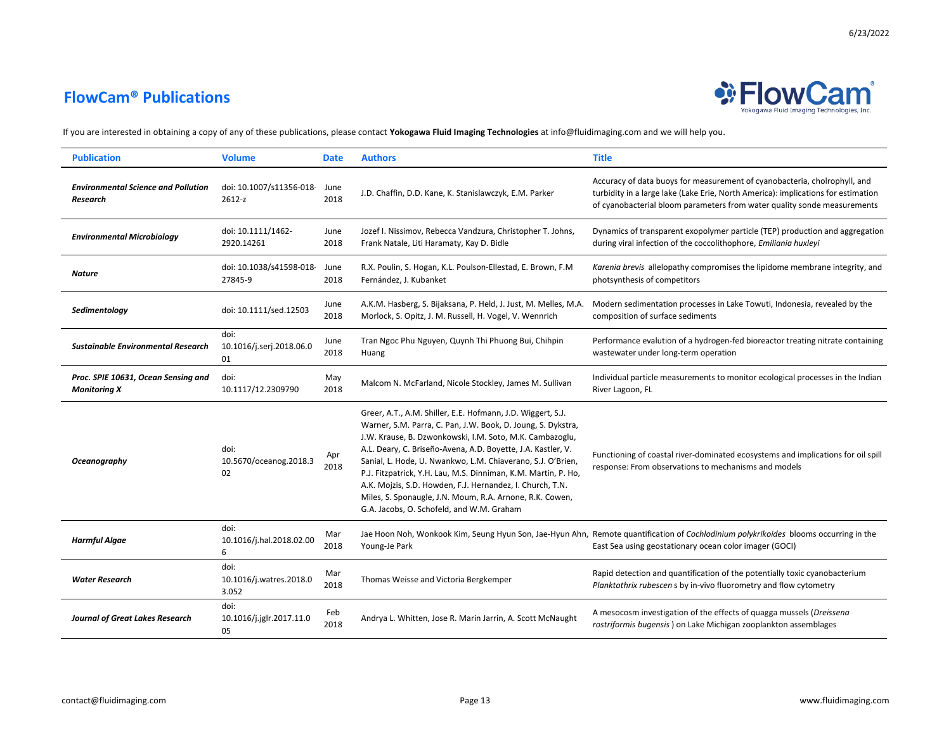

| <b>Publication</b>                                         | <b>Volume</b>                            | <b>Date</b>  | <b>Authors</b>                                                                                                                                                                                                                                                                                                                                                                                                                                                                                                                                                 | <b>Title</b>                                                                                                                                                                                                                               |
|------------------------------------------------------------|------------------------------------------|--------------|----------------------------------------------------------------------------------------------------------------------------------------------------------------------------------------------------------------------------------------------------------------------------------------------------------------------------------------------------------------------------------------------------------------------------------------------------------------------------------------------------------------------------------------------------------------|--------------------------------------------------------------------------------------------------------------------------------------------------------------------------------------------------------------------------------------------|
| <b>Environmental Science and Pollution</b><br>Research     | doi: 10.1007/s11356-018<br>2612-z        | June<br>2018 | J.D. Chaffin, D.D. Kane, K. Stanislawczyk, E.M. Parker                                                                                                                                                                                                                                                                                                                                                                                                                                                                                                         | Accuracy of data buoys for measurement of cyanobacteria, cholrophyll, and<br>turbidity in a large lake (Lake Erie, North America): implications for estimation<br>of cyanobacterial bloom parameters from water quality sonde measurements |
| <b>Environmental Microbiology</b>                          | doi: 10.1111/1462-<br>2920.14261         | June<br>2018 | Jozef I. Nissimov, Rebecca Vandzura, Christopher T. Johns,<br>Frank Natale, Liti Haramaty, Kay D. Bidle                                                                                                                                                                                                                                                                                                                                                                                                                                                        | Dynamics of transparent exopolymer particle (TEP) production and aggregation<br>during viral infection of the coccolithophore, Emiliania huxleyi                                                                                           |
| <b>Nature</b>                                              | doi: 10.1038/s41598-018<br>27845-9       | June<br>2018 | R.X. Poulin, S. Hogan, K.L. Poulson-Ellestad, E. Brown, F.M.<br>Fernández, J. Kubanket                                                                                                                                                                                                                                                                                                                                                                                                                                                                         | Karenia brevis allelopathy compromises the lipidome membrane integrity, and<br>photsynthesis of competitors                                                                                                                                |
| Sedimentology                                              | doi: 10.1111/sed.12503                   | June<br>2018 | A.K.M. Hasberg, S. Bijaksana, P. Held, J. Just, M. Melles, M.A.<br>Morlock, S. Opitz, J. M. Russell, H. Vogel, V. Wennrich                                                                                                                                                                                                                                                                                                                                                                                                                                     | Modern sedimentation processes in Lake Towuti, Indonesia, revealed by the<br>composition of surface sediments                                                                                                                              |
| <b>Sustainable Environmental Research</b>                  | doi:<br>10.1016/j.serj.2018.06.0<br>01   | June<br>2018 | Tran Ngoc Phu Nguyen, Quynh Thi Phuong Bui, Chihpin<br>Huang                                                                                                                                                                                                                                                                                                                                                                                                                                                                                                   | Performance evalution of a hydrogen-fed bioreactor treating nitrate containing<br>wastewater under long-term operation                                                                                                                     |
| Proc. SPIE 10631, Ocean Sensing and<br><b>Monitoring X</b> | doi:<br>10.1117/12.2309790               | May<br>2018  | Malcom N. McFarland, Nicole Stockley, James M. Sullivan                                                                                                                                                                                                                                                                                                                                                                                                                                                                                                        | Individual particle measurements to monitor ecological processes in the Indian<br>River Lagoon, FL                                                                                                                                         |
| Oceanography                                               | doi:<br>10.5670/oceanog.2018.3<br>02     | Apr<br>2018  | Greer, A.T., A.M. Shiller, E.E. Hofmann, J.D. Wiggert, S.J.<br>Warner, S.M. Parra, C. Pan, J.W. Book, D. Joung, S. Dykstra,<br>J.W. Krause, B. Dzwonkowski, I.M. Soto, M.K. Cambazoglu,<br>A.L. Deary, C. Briseño-Avena, A.D. Boyette, J.A. Kastler, V.<br>Sanial, L. Hode, U. Nwankwo, L.M. Chiaverano, S.J. O'Brien,<br>P.J. Fitzpatrick, Y.H. Lau, M.S. Dinniman, K.M. Martin, P. Ho,<br>A.K. Mojzis, S.D. Howden, F.J. Hernandez, I. Church, T.N.<br>Miles, S. Sponaugle, J.N. Moum, R.A. Arnone, R.K. Cowen,<br>G.A. Jacobs, O. Schofeld, and W.M. Graham | Functioning of coastal river-dominated ecosystems and implications for oil spill<br>response: From observations to mechanisms and models                                                                                                   |
| <b>Harmful Algae</b>                                       | doi:<br>10.1016/j.hal.2018.02.00<br>6    | Mar<br>2018  | Young-Je Park                                                                                                                                                                                                                                                                                                                                                                                                                                                                                                                                                  | Jae Hoon Noh, Wonkook Kim, Seung Hyun Son, Jae-Hyun Ahn, Remote quantification of Cochlodinium polykrikoides blooms occurring in the<br>East Sea using geostationary ocean color imager (GOCI)                                             |
| <b>Water Research</b>                                      | doi:<br>10.1016/j.watres.2018.0<br>3.052 | Mar<br>2018  | Thomas Weisse and Victoria Bergkemper                                                                                                                                                                                                                                                                                                                                                                                                                                                                                                                          | Rapid detection and quantification of the potentially toxic cyanobacterium<br>Planktothrix rubescen s by in-vivo fluorometry and flow cytometry                                                                                            |
| <b>Journal of Great Lakes Research</b>                     | doi:<br>10.1016/j.jglr.2017.11.0<br>05   | Feb<br>2018  | Andrya L. Whitten, Jose R. Marin Jarrin, A. Scott McNaught                                                                                                                                                                                                                                                                                                                                                                                                                                                                                                     | A mesocosm investigation of the effects of quagga mussels (Dreissena<br>rostriformis bugensis) on Lake Michigan zooplankton assemblages                                                                                                    |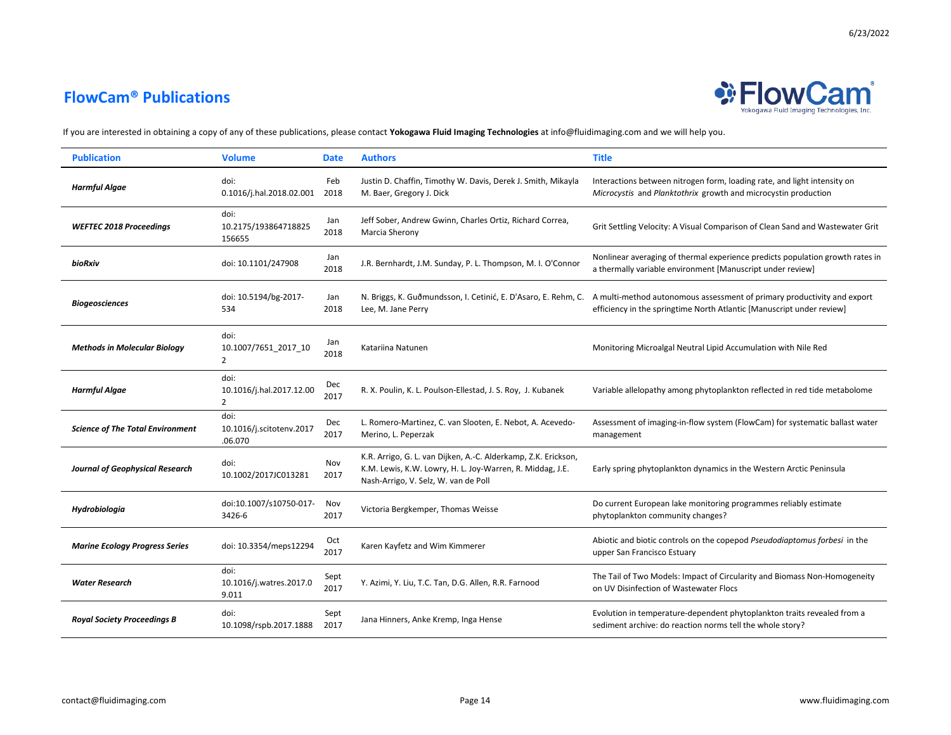

| <b>Publication</b>                      | <b>Volume</b>                                      | <b>Date</b>  | <b>Authors</b>                                                                                                                                                      | <b>Title</b>                                                                                                                                                                                                    |
|-----------------------------------------|----------------------------------------------------|--------------|---------------------------------------------------------------------------------------------------------------------------------------------------------------------|-----------------------------------------------------------------------------------------------------------------------------------------------------------------------------------------------------------------|
| <b>Harmful Algae</b>                    | doi:<br>0.1016/j.hal.2018.02.001                   | Feb<br>2018  | Justin D. Chaffin, Timothy W. Davis, Derek J. Smith, Mikayla<br>M. Baer, Gregory J. Dick                                                                            | Interactions between nitrogen form, loading rate, and light intensity on<br>Microcystis and Planktothrix growth and microcystin production                                                                      |
| <b>WEFTEC 2018 Proceedings</b>          | doi:<br>10.2175/193864718825<br>156655             | Jan<br>2018  | Jeff Sober, Andrew Gwinn, Charles Ortiz, Richard Correa,<br>Marcia Sherony                                                                                          | Grit Settling Velocity: A Visual Comparison of Clean Sand and Wastewater Grit                                                                                                                                   |
| bioRxiv                                 | doi: 10.1101/247908                                | Jan<br>2018  | J.R. Bernhardt, J.M. Sunday, P. L. Thompson, M. I. O'Connor                                                                                                         | Nonlinear averaging of thermal experience predicts population growth rates in<br>a thermally variable environment [Manuscript under review]                                                                     |
| <b>Biogeosciences</b>                   | doi: 10.5194/bg-2017-<br>534                       | Jan<br>2018  | Lee, M. Jane Perry                                                                                                                                                  | N. Briggs, K. Guðmundsson, I. Cetinić, E. D'Asaro, E. Rehm, C. A multi-method autonomous assessment of primary productivity and export<br>efficiency in the springtime North Atlantic [Manuscript under review] |
| <b>Methods in Molecular Biology</b>     | doi:<br>10.1007/7651_2017_10<br>$\overline{2}$     | Jan<br>2018  | Katariina Natunen                                                                                                                                                   | Monitoring Microalgal Neutral Lipid Accumulation with Nile Red                                                                                                                                                  |
| <b>Harmful Algae</b>                    | doi:<br>10.1016/j.hal.2017.12.00<br>$\overline{2}$ | Dec<br>2017  | R. X. Poulin, K. L. Poulson-Ellestad, J. S. Roy, J. Kubanek                                                                                                         | Variable allelopathy among phytoplankton reflected in red tide metabolome                                                                                                                                       |
| <b>Science of The Total Environment</b> | doi:<br>10.1016/j.scitotenv.2017<br>.06.070        | Dec<br>2017  | L. Romero-Martinez, C. van Slooten, E. Nebot, A. Acevedo-<br>Merino, L. Peperzak                                                                                    | Assessment of imaging-in-flow system (FlowCam) for systematic ballast water<br>management                                                                                                                       |
| <b>Journal of Geophysical Research</b>  | doi:<br>10.1002/2017JC013281                       | Nov<br>2017  | K.R. Arrigo, G. L. van Dijken, A.-C. Alderkamp, Z.K. Erickson,<br>K.M. Lewis, K.W. Lowry, H. L. Joy-Warren, R. Middag, J.E.<br>Nash-Arrigo, V. Selz, W. van de Poll | Early spring phytoplankton dynamics in the Western Arctic Peninsula                                                                                                                                             |
| Hydrobiologia                           | doi:10.1007/s10750-017-<br>3426-6                  | Nov<br>2017  | Victoria Bergkemper, Thomas Weisse                                                                                                                                  | Do current European lake monitoring programmes reliably estimate<br>phytoplankton community changes?                                                                                                            |
| <b>Marine Ecology Progress Series</b>   | doi: 10.3354/meps12294                             | Oct<br>2017  | Karen Kayfetz and Wim Kimmerer                                                                                                                                      | Abiotic and biotic controls on the copepod Pseudodiaptomus forbesi in the<br>upper San Francisco Estuary                                                                                                        |
| <b>Water Research</b>                   | doi:<br>10.1016/j.watres.2017.0<br>9.011           | Sept<br>2017 | Y. Azimi, Y. Liu, T.C. Tan, D.G. Allen, R.R. Farnood                                                                                                                | The Tail of Two Models: Impact of Circularity and Biomass Non-Homogeneity<br>on UV Disinfection of Wastewater Flocs                                                                                             |
| <b>Royal Society Proceedings B</b>      | doi:<br>10.1098/rspb.2017.1888                     | Sept<br>2017 | Jana Hinners, Anke Kremp, Inga Hense                                                                                                                                | Evolution in temperature-dependent phytoplankton traits revealed from a<br>sediment archive: do reaction norms tell the whole story?                                                                            |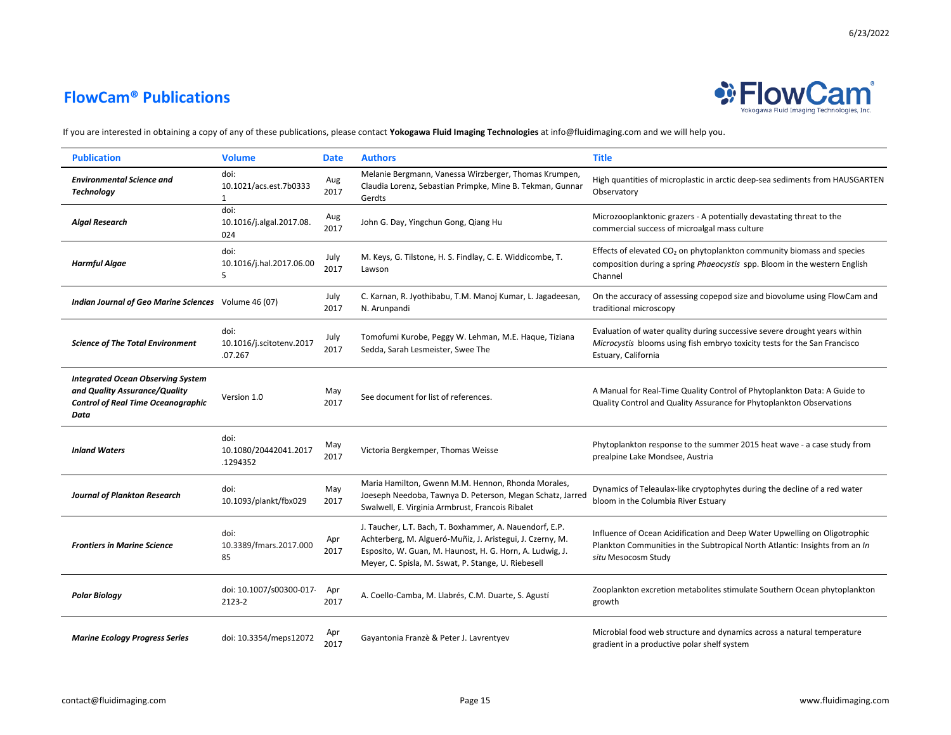

| <b>Publication</b>                                                                                                             | <b>Volume</b>                                  | <b>Date</b>  | <b>Authors</b>                                                                                                                                                                                                                          | <b>Title</b>                                                                                                                                                                    |
|--------------------------------------------------------------------------------------------------------------------------------|------------------------------------------------|--------------|-----------------------------------------------------------------------------------------------------------------------------------------------------------------------------------------------------------------------------------------|---------------------------------------------------------------------------------------------------------------------------------------------------------------------------------|
| <b>Environmental Science and</b><br><b>Technology</b>                                                                          | doi:<br>10.1021/acs.est.7b0333<br>$\mathbf{1}$ | Aug<br>2017  | Melanie Bergmann, Vanessa Wirzberger, Thomas Krumpen,<br>Claudia Lorenz, Sebastian Primpke, Mine B. Tekman, Gunnar<br>Gerdts                                                                                                            | High quantities of microplastic in arctic deep-sea sediments from HAUSGARTEN<br>Observatory                                                                                     |
| <b>Algal Research</b>                                                                                                          | doi:<br>10.1016/j.algal.2017.08.<br>024        | Aug<br>2017  | John G. Day, Yingchun Gong, Qiang Hu                                                                                                                                                                                                    | Microzooplanktonic grazers - A potentially devastating threat to the<br>commercial success of microalgal mass culture                                                           |
| <b>Harmful Algae</b>                                                                                                           | doi:<br>10.1016/j.hal.2017.06.00<br>5          | July<br>2017 | M. Keys, G. Tilstone, H. S. Findlay, C. E. Widdicombe, T.<br>Lawson                                                                                                                                                                     | Effects of elevated $CO2$ on phytoplankton community biomass and species<br>composition during a spring Phaeocystis spp. Bloom in the western English<br>Channel                |
| Indian Journal of Geo Marine Sciences Volume 46 (07)                                                                           |                                                | July<br>2017 | C. Karnan, R. Jyothibabu, T.M. Manoj Kumar, L. Jagadeesan,<br>N. Arunpandi                                                                                                                                                              | On the accuracy of assessing copepod size and biovolume using FlowCam and<br>traditional microscopy                                                                             |
| <b>Science of The Total Environment</b>                                                                                        | doi:<br>10.1016/j.scitotenv.2017<br>.07.267    | July<br>2017 | Tomofumi Kurobe, Peggy W. Lehman, M.E. Haque, Tiziana<br>Sedda, Sarah Lesmeister, Swee The                                                                                                                                              | Evaluation of water quality during successive severe drought years within<br>Microcystis blooms using fish embryo toxicity tests for the San Francisco<br>Estuary, California   |
| <b>Integrated Ocean Observing System</b><br>and Quality Assurance/Quality<br><b>Control of Real Time Oceanographic</b><br>Data | Version 1.0                                    | May<br>2017  | See document for list of references.                                                                                                                                                                                                    | A Manual for Real-Time Quality Control of Phytoplankton Data: A Guide to<br>Quality Control and Quality Assurance for Phytoplankton Observations                                |
| <b>Inland Waters</b>                                                                                                           | doi:<br>10.1080/20442041.2017<br>1294352       | May<br>2017  | Victoria Bergkemper, Thomas Weisse                                                                                                                                                                                                      | Phytoplankton response to the summer 2015 heat wave - a case study from<br>prealpine Lake Mondsee, Austria                                                                      |
| <b>Journal of Plankton Research</b>                                                                                            | doi:<br>10.1093/plankt/fbx029                  | May<br>2017  | Maria Hamilton, Gwenn M.M. Hennon, Rhonda Morales,<br>Joeseph Needoba, Tawnya D. Peterson, Megan Schatz, Jarred<br>Swalwell, E. Virginia Armbrust, Francois Ribalet                                                                     | Dynamics of Teleaulax-like cryptophytes during the decline of a red water<br>bloom in the Columbia River Estuary                                                                |
| <b>Frontiers in Marine Science</b>                                                                                             | doi:<br>10.3389/fmars.2017.000<br>85           | Apr<br>2017  | J. Taucher, L.T. Bach, T. Boxhammer, A. Nauendorf, E.P.<br>Achterberg, M. Algueró-Muñiz, J. Aristegui, J. Czerny, M.<br>Esposito, W. Guan, M. Haunost, H. G. Horn, A. Ludwig, J.<br>Meyer, C. Spisla, M. Sswat, P. Stange, U. Riebesell | Influence of Ocean Acidification and Deep Water Upwelling on Oligotrophic<br>Plankton Communities in the Subtropical North Atlantic: Insights from an In<br>situ Mesocosm Study |
| <b>Polar Biology</b>                                                                                                           | doi: 10.1007/s00300-017<br>2123-2              | Apr<br>2017  | A. Coello-Camba, M. Llabrés, C.M. Duarte, S. Agustí                                                                                                                                                                                     | Zooplankton excretion metabolites stimulate Southern Ocean phytoplankton<br>growth                                                                                              |
| <b>Marine Ecology Progress Series</b>                                                                                          | doi: 10.3354/meps12072                         | 2017         | Gayantonia Franzè & Peter J. Lavrentyev                                                                                                                                                                                                 | Microbial food web structure and dynamics across a natural temperature<br>gradient in a productive polar shelf system                                                           |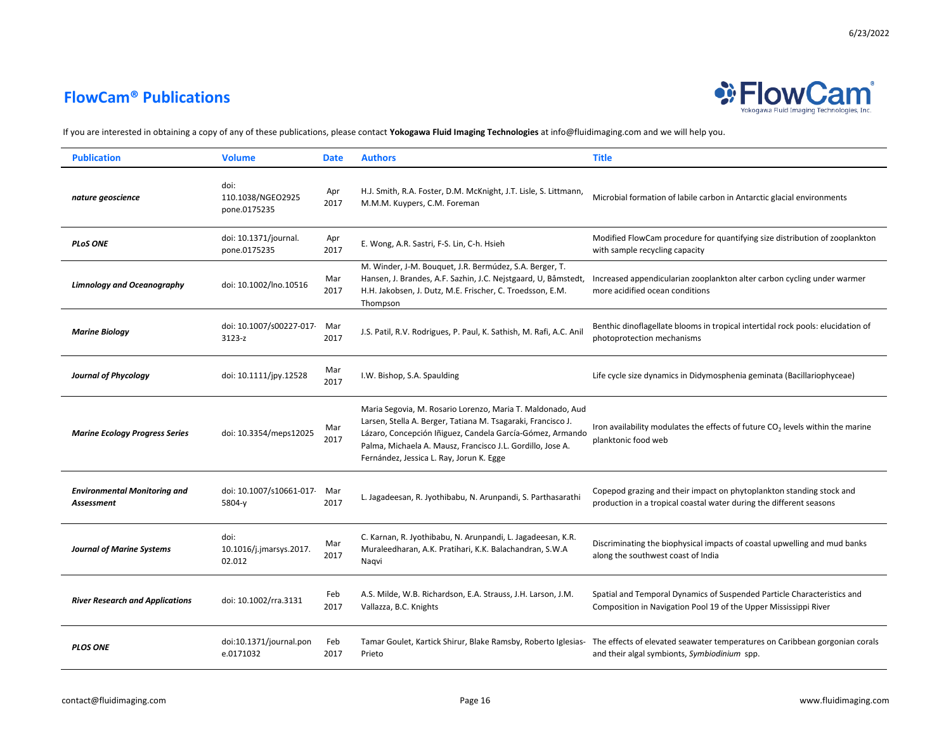

| <b>Publication</b>                                | <b>Volume</b>                             | <b>Date</b> | <b>Authors</b>                                                                                                                                                                                                                                                                                    | <b>Title</b>                                                                                                                                                                              |
|---------------------------------------------------|-------------------------------------------|-------------|---------------------------------------------------------------------------------------------------------------------------------------------------------------------------------------------------------------------------------------------------------------------------------------------------|-------------------------------------------------------------------------------------------------------------------------------------------------------------------------------------------|
| nature geoscience                                 | doi:<br>110.1038/NGEO2925<br>pone.0175235 | Apr<br>2017 | H.J. Smith, R.A. Foster, D.M. McKnight, J.T. Lisle, S. Littmann,<br>M.M.M. Kuypers, C.M. Foreman                                                                                                                                                                                                  | Microbial formation of labile carbon in Antarctic glacial environments                                                                                                                    |
| <b>PLOS ONE</b>                                   | doi: 10.1371/journal.<br>pone.0175235     | Apr<br>2017 | E. Wong, A.R. Sastri, F-S. Lin, C-h. Hsieh                                                                                                                                                                                                                                                        | Modified FlowCam procedure for quantifying size distribution of zooplankton<br>with sample recycling capacity                                                                             |
| <b>Limnology and Oceanography</b>                 | doi: 10.1002/lno.10516                    | Mar<br>2017 | M. Winder, J-M. Bouquet, J.R. Bermúdez, S.A. Berger, T.<br>Hansen, J. Brandes, A.F. Sazhin, J.C. Nejstgaard, U, Båmstedt,<br>H.H. Jakobsen, J. Dutz, M.E. Frischer, C. Troedsson, E.M.<br>Thompson                                                                                                | Increased appendicularian zooplankton alter carbon cycling under warmer<br>more acidified ocean conditions                                                                                |
| <b>Marine Biology</b>                             | doi: 10.1007/s00227-017<br>$3123-z$       | Mar<br>2017 | J.S. Patil, R.V. Rodrigues, P. Paul, K. Sathish, M. Rafi, A.C. Anil                                                                                                                                                                                                                               | Benthic dinoflagellate blooms in tropical intertidal rock pools: elucidation of<br>photoprotection mechanisms                                                                             |
| <b>Journal of Phycology</b>                       | doi: 10.1111/jpy.12528                    | Mar<br>2017 | I.W. Bishop, S.A. Spaulding                                                                                                                                                                                                                                                                       | Life cycle size dynamics in Didymosphenia geminata (Bacillariophyceae)                                                                                                                    |
| <b>Marine Ecology Progress Series</b>             | doi: 10.3354/meps12025                    | Mar<br>2017 | Maria Segovia, M. Rosario Lorenzo, Maria T. Maldonado, Aud<br>Larsen, Stella A. Berger, Tatiana M. Tsagaraki, Francisco J.<br>Lázaro, Concepción Iñiguez, Candela García-Gómez, Armando<br>Palma, Michaela A. Mausz, Francisco J.L. Gordillo, Jose A.<br>Fernández, Jessica L. Ray, Jorun K. Egge | Iron availability modulates the effects of future $CO2$ levels within the marine<br>planktonic food web                                                                                   |
| <b>Environmental Monitoring and</b><br>Assessment | doi: 10.1007/s10661-017<br>5804-y         | Mar<br>2017 | L. Jagadeesan, R. Jyothibabu, N. Arunpandi, S. Parthasarathi                                                                                                                                                                                                                                      | Copepod grazing and their impact on phytoplankton standing stock and<br>production in a tropical coastal water during the different seasons                                               |
| <b>Journal of Marine Systems</b>                  | doi:<br>10.1016/j.jmarsys.2017.<br>02.012 | Mar<br>2017 | C. Karnan, R. Jyothibabu, N. Arunpandi, L. Jagadeesan, K.R.<br>Muraleedharan, A.K. Pratihari, K.K. Balachandran, S.W.A<br>Naqvi                                                                                                                                                                   | Discriminating the biophysical impacts of coastal upwelling and mud banks<br>along the southwest coast of India                                                                           |
| <b>River Research and Applications</b>            | doi: 10.1002/rra.3131                     | Feb<br>2017 | A.S. Milde, W.B. Richardson, E.A. Strauss, J.H. Larson, J.M.<br>Vallazza, B.C. Knights                                                                                                                                                                                                            | Spatial and Temporal Dynamics of Suspended Particle Characteristics and<br>Composition in Navigation Pool 19 of the Upper Mississippi River                                               |
| <b>PLOS ONE</b>                                   | doi:10.1371/journal.pon<br>e.0171032      | Feb<br>2017 | Prieto                                                                                                                                                                                                                                                                                            | Tamar Goulet, Kartick Shirur, Blake Ramsby, Roberto Iglesias- The effects of elevated seawater temperatures on Caribbean gorgonian corals<br>and their algal symbionts, Symbiodinium spp. |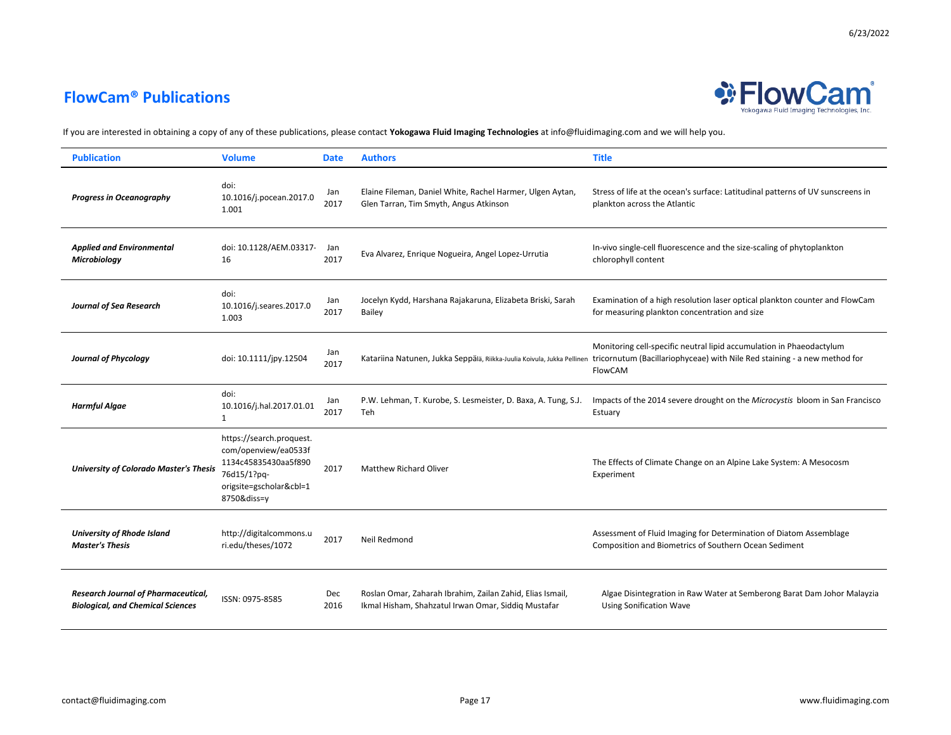

| <b>Publication</b>                                                                     | <b>Volume</b>                                                                                                                     | <b>Date</b>        | <b>Authors</b>                                                                                                   | <b>Title</b>                                                                                                                                                                                                                         |
|----------------------------------------------------------------------------------------|-----------------------------------------------------------------------------------------------------------------------------------|--------------------|------------------------------------------------------------------------------------------------------------------|--------------------------------------------------------------------------------------------------------------------------------------------------------------------------------------------------------------------------------------|
| <b>Progress in Oceanography</b>                                                        | doi:<br>10.1016/j.pocean.2017.0<br>1.001                                                                                          | Jan<br>2017        | Elaine Fileman, Daniel White, Rachel Harmer, Ulgen Aytan,<br>Glen Tarran, Tim Smyth, Angus Atkinson              | Stress of life at the ocean's surface: Latitudinal patterns of UV sunscreens in<br>plankton across the Atlantic                                                                                                                      |
| <b>Applied and Environmental</b><br>Microbiology                                       | doi: 10.1128/AEM.03317-<br>16                                                                                                     | Jan<br>2017        | Eva Alvarez, Enrique Nogueira, Angel Lopez-Urrutia                                                               | In-vivo single-cell fluorescence and the size-scaling of phytoplankton<br>chlorophyll content                                                                                                                                        |
| <b>Journal of Sea Research</b>                                                         | doi:<br>10.1016/j.seares.2017.0<br>1.003                                                                                          | Jan<br>2017        | Jocelyn Kydd, Harshana Rajakaruna, Elizabeta Briski, Sarah<br>Bailey                                             | Examination of a high resolution laser optical plankton counter and FlowCam<br>for measuring plankton concentration and size                                                                                                         |
| <b>Journal of Phycology</b>                                                            | doi: 10.1111/jpy.12504                                                                                                            | Jan<br>2017        |                                                                                                                  | Monitoring cell-specific neutral lipid accumulation in Phaeodactylum<br>Katariina Natunen, Jukka Seppälä, Riikka-Juulia Koivula, Jukka Pellinen tricornutum (Bacillariophyceae) with Nile Red staining - a new method for<br>FlowCAM |
| <b>Harmful Algae</b>                                                                   | doi:<br>10.1016/j.hal.2017.01.01<br>1                                                                                             | Jan<br>2017        | P.W. Lehman, T. Kurobe, S. Lesmeister, D. Baxa, A. Tung, S.J.<br>Teh                                             | Impacts of the 2014 severe drought on the Microcystis bloom in San Francisco<br>Estuary                                                                                                                                              |
| <b>University of Colorado Master's Thesis</b>                                          | https://search.proquest.<br>com/openview/ea0533f<br>1134c45835430aa5f890<br>76d15/1?pq-<br>origsite=gscholar&cbl=1<br>8750&diss=v | 2017               | <b>Matthew Richard Oliver</b>                                                                                    | The Effects of Climate Change on an Alpine Lake System: A Mesocosm<br>Experiment                                                                                                                                                     |
| <b>University of Rhode Island</b><br><b>Master's Thesis</b>                            | http://digitalcommons.u<br>ri.edu/theses/1072                                                                                     | 2017               | Neil Redmond                                                                                                     | Assessment of Fluid Imaging for Determination of Diatom Assemblage<br>Composition and Biometrics of Southern Ocean Sediment                                                                                                          |
| <b>Research Journal of Pharmaceutical,</b><br><b>Biological, and Chemical Sciences</b> | ISSN: 0975-8585                                                                                                                   | <b>Dec</b><br>2016 | Roslan Omar, Zaharah Ibrahim, Zailan Zahid, Elias Ismail,<br>Ikmal Hisham, Shahzatul Irwan Omar, Siddiq Mustafar | Algae Disintegration in Raw Water at Semberong Barat Dam Johor Malayzia<br><b>Using Sonification Wave</b>                                                                                                                            |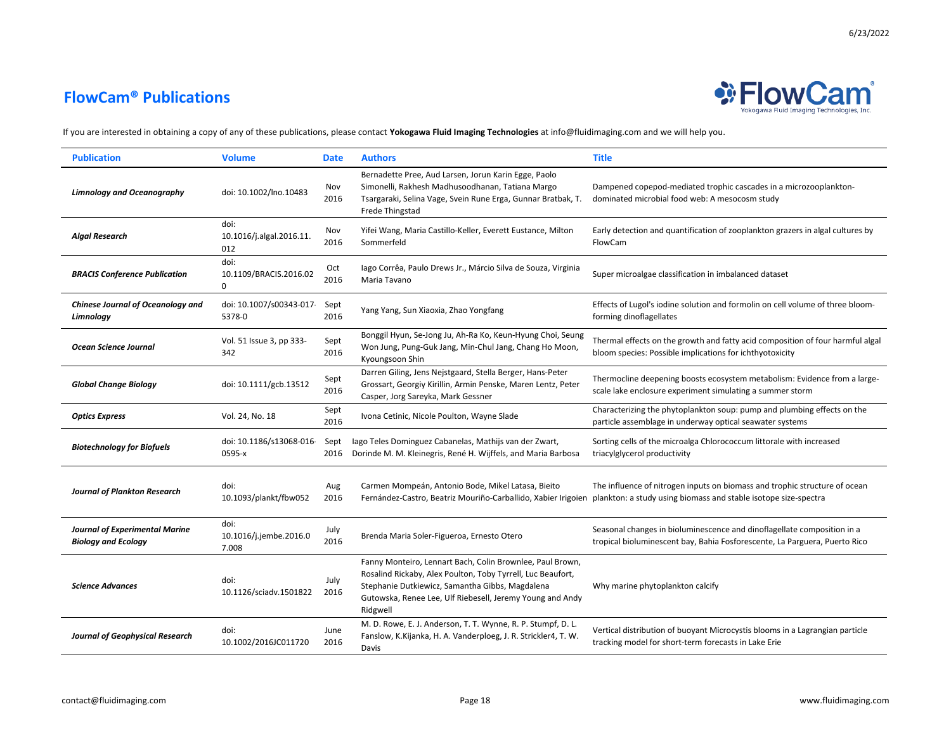

| <b>Publication</b>                                                  | <b>Volume</b>                           | <b>Date</b>  | <b>Authors</b>                                                                                                                                                                                                                                       | <b>Title</b>                                                                                                                                          |
|---------------------------------------------------------------------|-----------------------------------------|--------------|------------------------------------------------------------------------------------------------------------------------------------------------------------------------------------------------------------------------------------------------------|-------------------------------------------------------------------------------------------------------------------------------------------------------|
| <b>Limnology and Oceanography</b>                                   | doi: 10.1002/lno.10483                  | Nov<br>2016  | Bernadette Pree, Aud Larsen, Jorun Karin Egge, Paolo<br>Simonelli, Rakhesh Madhusoodhanan, Tatiana Margo<br>Tsargaraki, Selina Vage, Svein Rune Erga, Gunnar Bratbak, T.<br>Frede Thingstad                                                          | Dampened copepod-mediated trophic cascades in a microzooplankton-<br>dominated microbial food web: A mesocosm study                                   |
| <b>Algal Research</b>                                               | doi:<br>10.1016/j.algal.2016.11.<br>012 | Nov<br>2016  | Yifei Wang, Maria Castillo-Keller, Everett Eustance, Milton<br>Sommerfeld                                                                                                                                                                            | Early detection and quantification of zooplankton grazers in algal cultures by<br>FlowCam                                                             |
| <b>BRACIS Conference Publication</b>                                | doi:<br>10.1109/BRACIS.2016.02<br>0     | Oct<br>2016  | lago Corrêa, Paulo Drews Jr., Márcio Silva de Souza, Virginia<br>Maria Tavano                                                                                                                                                                        | Super microalgae classification in imbalanced dataset                                                                                                 |
| <b>Chinese Journal of Oceanology and</b><br>Limnology               | doi: 10.1007/s00343-017-<br>5378-0      | Sept<br>2016 | Yang Yang, Sun Xiaoxia, Zhao Yongfang                                                                                                                                                                                                                | Effects of Lugol's iodine solution and formolin on cell volume of three bloom-<br>forming dinoflagellates                                             |
| <b>Ocean Science Journal</b>                                        | Vol. 51 Issue 3, pp 333-<br>342         | Sept<br>2016 | Bonggil Hyun, Se-Jong Ju, Ah-Ra Ko, Keun-Hyung Choi, Seung<br>Won Jung, Pung-Guk Jang, Min-Chul Jang, Chang Ho Moon,<br>Kyoungsoon Shin                                                                                                              | Thermal effects on the growth and fatty acid composition of four harmful algal<br>bloom species: Possible implications for ichthyotoxicity            |
| <b>Global Change Biology</b>                                        | doi: 10.1111/gcb.13512                  | Sept<br>2016 | Darren Giling, Jens Nejstgaard, Stella Berger, Hans-Peter<br>Grossart, Georgiy Kirillin, Armin Penske, Maren Lentz, Peter<br>Casper, Jorg Sareyka, Mark Gessner                                                                                      | Thermocline deepening boosts ecosystem metabolism: Evidence from a large-<br>scale lake enclosure experiment simulating a summer storm                |
| <b>Optics Express</b>                                               | Vol. 24, No. 18                         | Sept<br>2016 | Ivona Cetinic, Nicole Poulton, Wayne Slade                                                                                                                                                                                                           | Characterizing the phytoplankton soup: pump and plumbing effects on the<br>particle assemblage in underway optical seawater systems                   |
| <b>Biotechnology for Biofuels</b>                                   | doi: 10.1186/s13068-016<br>0595-x       | Sept<br>2016 | lago Teles Dominguez Cabanelas, Mathijs van der Zwart,<br>Dorinde M. M. Kleinegris, René H. Wijffels, and Maria Barbosa                                                                                                                              | Sorting cells of the microalga Chlorococcum littorale with increased<br>triacylglycerol productivity                                                  |
| <b>Journal of Plankton Research</b>                                 | doi:<br>10.1093/plankt/fbw052           | Aug<br>2016  | Carmen Mompeán, Antonio Bode, Mikel Latasa, Bieito<br>Fernández-Castro, Beatriz Mouriño-Carballido, Xabier Irigoien                                                                                                                                  | The influence of nitrogen inputs on biomass and trophic structure of ocean<br>plankton: a study using biomass and stable isotope size-spectra         |
| <b>Journal of Experimental Marine</b><br><b>Biology and Ecology</b> | doi:<br>10.1016/j.jembe.2016.0<br>7.008 | July<br>2016 | Brenda Maria Soler-Figueroa, Ernesto Otero                                                                                                                                                                                                           | Seasonal changes in bioluminescence and dinoflagellate composition in a<br>tropical bioluminescent bay, Bahia Fosforescente, La Parguera, Puerto Rico |
| <b>Science Advances</b>                                             | doi:<br>10.1126/sciadv.1501822          | July<br>2016 | Fanny Monteiro, Lennart Bach, Colin Brownlee, Paul Brown,<br>Rosalind Rickaby, Alex Poulton, Toby Tyrrell, Luc Beaufort,<br>Stephanie Dutkiewicz, Samantha Gibbs, Magdalena<br>Gutowska, Renee Lee, Ulf Riebesell, Jeremy Young and Andy<br>Ridgwell | Why marine phytoplankton calcify                                                                                                                      |
| <b>Journal of Geophysical Research</b>                              | doi:<br>10.1002/2016JC011720            | June<br>2016 | M. D. Rowe, E. J. Anderson, T. T. Wynne, R. P. Stumpf, D. L.<br>Fanslow, K.Kijanka, H. A. Vanderploeg, J. R. Strickler4, T. W.<br>Davis                                                                                                              | Vertical distribution of buoyant Microcystis blooms in a Lagrangian particle<br>tracking model for short-term forecasts in Lake Erie                  |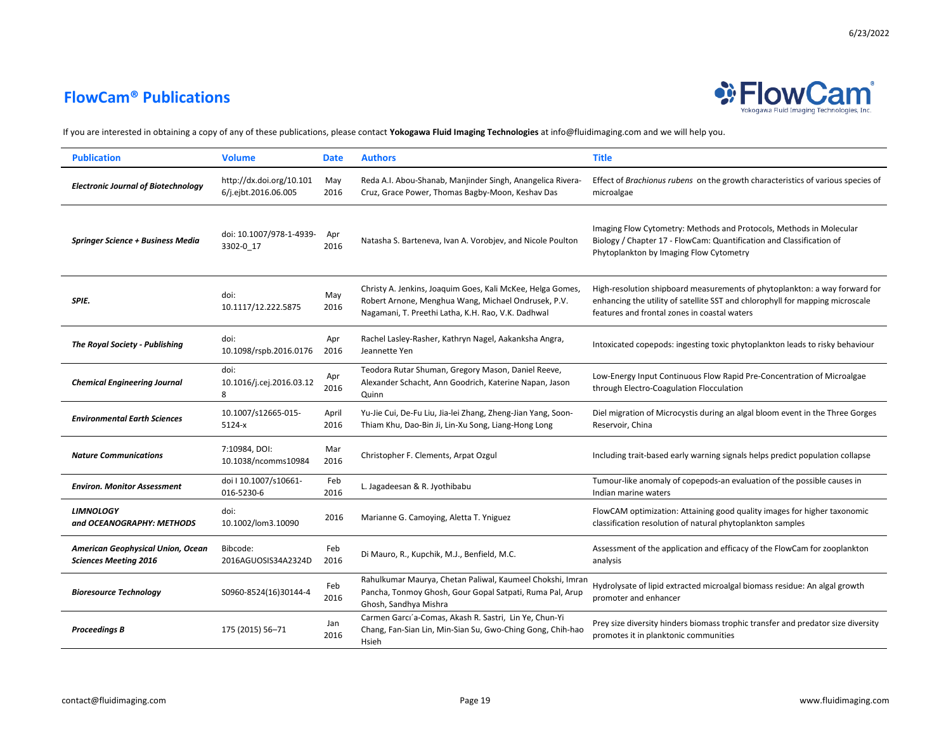



| <b>Publication</b>                                                | <b>Volume</b>                                    | <b>Date</b>   | <b>Authors</b>                                                                                                                                                          | <b>Title</b>                                                                                                                                                                                                |
|-------------------------------------------------------------------|--------------------------------------------------|---------------|-------------------------------------------------------------------------------------------------------------------------------------------------------------------------|-------------------------------------------------------------------------------------------------------------------------------------------------------------------------------------------------------------|
| <b>Electronic Journal of Biotechnology</b>                        | http://dx.doi.org/10.101<br>6/j.ejbt.2016.06.005 | May<br>2016   | Reda A.I. Abou-Shanab, Manjinder Singh, Anangelica Rivera-<br>Cruz, Grace Power, Thomas Bagby-Moon, Keshav Das                                                          | Effect of Brachionus rubens on the growth characteristics of various species of<br>microalgae                                                                                                               |
| <b>Springer Science + Business Media</b>                          | doi: 10.1007/978-1-4939-<br>3302-0 17            | Apr<br>2016   | Natasha S. Barteneva, Ivan A. Vorobjev, and Nicole Poulton                                                                                                              | Imaging Flow Cytometry: Methods and Protocols, Methods in Molecular<br>Biology / Chapter 17 - FlowCam: Quantification and Classification of<br>Phytoplankton by Imaging Flow Cytometry                      |
| SPIE.                                                             | doi:<br>10.1117/12.222.5875                      | May<br>2016   | Christy A. Jenkins, Joaquim Goes, Kali McKee, Helga Gomes,<br>Robert Arnone, Menghua Wang, Michael Ondrusek, P.V.<br>Nagamani, T. Preethi Latha, K.H. Rao, V.K. Dadhwal | High-resolution shipboard measurements of phytoplankton: a way forward for<br>enhancing the utility of satellite SST and chlorophyll for mapping microscale<br>features and frontal zones in coastal waters |
| <b>The Royal Society - Publishing</b>                             | doi:<br>10.1098/rspb.2016.0176                   | Apr<br>2016   | Rachel Lasley-Rasher, Kathryn Nagel, Aakanksha Angra,<br>Jeannette Yen                                                                                                  | Intoxicated copepods: ingesting toxic phytoplankton leads to risky behaviour                                                                                                                                |
| <b>Chemical Engineering Journal</b>                               | doi:<br>10.1016/j.cej.2016.03.12<br>8            | Apr<br>2016   | Teodora Rutar Shuman, Gregory Mason, Daniel Reeve,<br>Alexander Schacht, Ann Goodrich, Katerine Napan, Jason<br>Quinn                                                   | Low-Energy Input Continuous Flow Rapid Pre-Concentration of Microalgae<br>through Electro-Coagulation Flocculation                                                                                          |
| <b>Environmental Earth Sciences</b>                               | 10.1007/s12665-015-<br>5124-x                    | April<br>2016 | Yu-Jie Cui, De-Fu Liu, Jia-lei Zhang, Zheng-Jian Yang, Soon-<br>Thiam Khu, Dao-Bin Ji, Lin-Xu Song, Liang-Hong Long                                                     | Diel migration of Microcystis during an algal bloom event in the Three Gorges<br>Reservoir, China                                                                                                           |
| <b>Nature Communications</b>                                      | 7:10984, DOI:<br>10.1038/ncomms10984             | Mar<br>2016   | Christopher F. Clements, Arpat Ozgul                                                                                                                                    | Including trait-based early warning signals helps predict population collapse                                                                                                                               |
| <b>Environ. Monitor Assessment</b>                                | doi I 10.1007/s10661-<br>016-5230-6              | Feb<br>2016   | L. Jagadeesan & R. Jyothibabu                                                                                                                                           | Tumour-like anomaly of copepods-an evaluation of the possible causes in<br>Indian marine waters                                                                                                             |
| <b>LIMNOLOGY</b><br>and OCEANOGRAPHY: METHODS                     | doi:<br>10.1002/lom3.10090                       | 2016          | Marianne G. Camoying, Aletta T. Yniguez                                                                                                                                 | FlowCAM optimization: Attaining good quality images for higher taxonomic<br>classification resolution of natural phytoplankton samples                                                                      |
| American Geophysical Union, Ocean<br><b>Sciences Meeting 2016</b> | Bibcode:<br>2016AGUOSIS34A2324D                  | Feb<br>2016   | Di Mauro, R., Kupchik, M.J., Benfield, M.C.                                                                                                                             | Assessment of the application and efficacy of the FlowCam for zooplankton<br>analysis                                                                                                                       |
| <b>Bioresource Technology</b>                                     | S0960-8524(16)30144-4                            | Feb<br>2016   | Rahulkumar Maurya, Chetan Paliwal, Kaumeel Chokshi, Imran<br>Pancha, Tonmoy Ghosh, Gour Gopal Satpati, Ruma Pal, Arup<br>Ghosh, Sandhya Mishra                          | Hydrolysate of lipid extracted microalgal biomass residue: An algal growth<br>promoter and enhancer                                                                                                         |
| Proceedings B                                                     | 175 (2015) 56-71                                 | Jan<br>2016   | Carmen Garcı'a-Comas, Akash R. Sastri, Lin Ye, Chun-Yi<br>Chang, Fan-Sian Lin, Min-Sian Su, Gwo-Ching Gong, Chih-hao<br>Hsieh                                           | Prey size diversity hinders biomass trophic transfer and predator size diversity<br>promotes it in planktonic communities                                                                                   |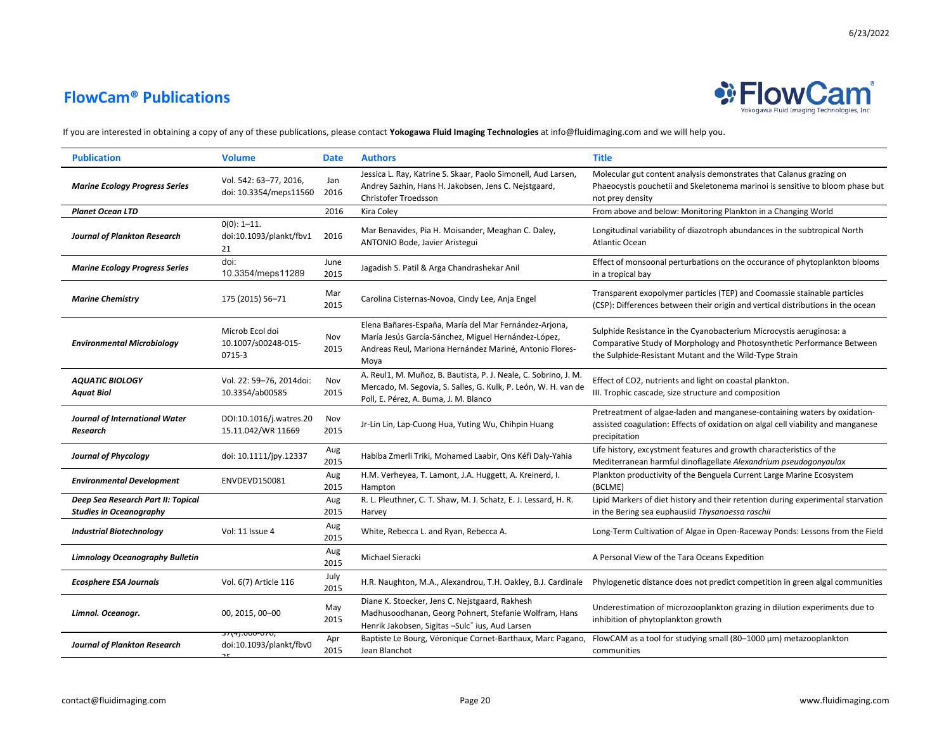

| <b>Publication</b>                                                   | <b>Volume</b>                                    | <b>Date</b>  | <b>Authors</b>                                                                                                                                                                  | <b>Title</b>                                                                                                                                                                                            |
|----------------------------------------------------------------------|--------------------------------------------------|--------------|---------------------------------------------------------------------------------------------------------------------------------------------------------------------------------|---------------------------------------------------------------------------------------------------------------------------------------------------------------------------------------------------------|
| <b>Marine Ecology Progress Series</b>                                | Vol. 542: 63-77, 2016,<br>doi: 10.3354/meps11560 | Jan<br>2016  | Jessica L. Ray, Katrine S. Skaar, Paolo Simonell, Aud Larsen,<br>Andrey Sazhin, Hans H. Jakobsen, Jens C. Nejstgaard,<br>Christofer Troedsson                                   | Molecular gut content analysis demonstrates that Calanus grazing on<br>Phaeocystis pouchetii and Skeletonema marinoi is sensitive to bloom phase but<br>not prey density                                |
| <b>Planet Ocean LTD</b>                                              |                                                  | 2016         | Kira Coley                                                                                                                                                                      | From above and below: Monitoring Plankton in a Changing World                                                                                                                                           |
| <b>Journal of Plankton Research</b>                                  | $0(0)$ : 1-11.<br>doi:10.1093/plankt/fbv1<br>21  | 2016         | Mar Benavides, Pia H. Moisander, Meaghan C. Daley,<br>ANTONIO Bode, Javier Aristegui                                                                                            | Longitudinal variability of diazotroph abundances in the subtropical North<br><b>Atlantic Ocean</b>                                                                                                     |
| <b>Marine Ecology Progress Series</b>                                | doi:<br>10.3354/meps11289                        | June<br>2015 | Jagadish S. Patil & Arga Chandrashekar Anil                                                                                                                                     | Effect of monsoonal perturbations on the occurance of phytoplankton blooms<br>in a tropical bay                                                                                                         |
| <b>Marine Chemistry</b>                                              | 175 (2015) 56-71                                 | Mar<br>2015  | Carolina Cisternas-Novoa, Cindy Lee, Anja Engel                                                                                                                                 | Transparent exopolymer particles (TEP) and Coomassie stainable particles<br>(CSP): Differences between their origin and vertical distributions in the ocean                                             |
| <b>Environmental Microbiology</b>                                    | Microb Ecol doi<br>10.1007/s00248-015-<br>0715-3 | Nov<br>2015  | Elena Bañares-España, María del Mar Fernández-Arjona,<br>María Jesús García-Sánchez, Miguel Hernández-López,<br>Andreas Reul, Mariona Hernández Mariné, Antonio Flores-<br>Moya | Sulphide Resistance in the Cyanobacterium Microcystis aeruginosa: a<br>Comparative Study of Morphology and Photosynthetic Performance Between<br>the Sulphide-Resistant Mutant and the Wild-Type Strain |
| <b>AQUATIC BIOLOGY</b><br><b>Aquat Biol</b>                          | Vol. 22: 59-76, 2014doi:<br>10.3354/ab00585      | Nov<br>2015  | A. Reul1, M. Muñoz, B. Bautista, P. J. Neale, C. Sobrino, J. M.<br>Mercado, M. Segovia, S. Salles, G. Kulk, P. León, W. H. van de<br>Poll, E. Pérez, A. Buma, J. M. Blanco      | Effect of CO2, nutrients and light on coastal plankton.<br>III. Trophic cascade, size structure and composition                                                                                         |
| Journal of International Water<br>Research                           | DOI:10.1016/j.watres.20<br>15.11.042/WR 11669    | Nov<br>2015  | Jr-Lin Lin, Lap-Cuong Hua, Yuting Wu, Chihpin Huang                                                                                                                             | Pretreatment of algae-laden and manganese-containing waters by oxidation-<br>assisted coagulation: Effects of oxidation on algal cell viability and manganese<br>precipitation                          |
| <b>Journal of Phycology</b>                                          | doi: 10.1111/jpy.12337                           | Aug<br>2015  | Habiba Zmerli Triki, Mohamed Laabir, Ons Kéfi Daly-Yahia                                                                                                                        | Life history, excystment features and growth characteristics of the<br>Mediterranean harmful dinoflagellate Alexandrium pseudogonyaulax                                                                 |
| <b>Environmental Development</b>                                     | ENVDEVD150081                                    | Aug<br>2015  | H.M. Verheyea, T. Lamont, J.A. Huggett, A. Kreinerd, I.<br>Hampton                                                                                                              | Plankton productivity of the Benguela Current Large Marine Ecosystem<br>(BCLME)                                                                                                                         |
| Deep Sea Research Part II: Topical<br><b>Studies in Oceanography</b> |                                                  | Aug<br>2015  | R. L. Pleuthner, C. T. Shaw, M. J. Schatz, E. J. Lessard, H. R.<br>Harvey                                                                                                       | Lipid Markers of diet history and their retention during experimental starvation<br>in the Bering sea euphausiid Thysanoessa raschii                                                                    |
| <b>Industrial Biotechnology</b>                                      | Vol: 11 Issue 4                                  | Aug<br>2015  | White, Rebecca L. and Ryan, Rebecca A.                                                                                                                                          | Long-Term Cultivation of Algae in Open-Raceway Ponds: Lessons from the Field                                                                                                                            |
| <b>Limnology Oceanography Bulletin</b>                               |                                                  | Aug<br>2015  | Michael Sieracki                                                                                                                                                                | A Personal View of the Tara Oceans Expedition                                                                                                                                                           |
| <b>Ecosphere ESA Journals</b>                                        | Vol. 6(7) Article 116                            | July<br>2015 | H.R. Naughton, M.A., Alexandrou, T.H. Oakley, B.J. Cardinale                                                                                                                    | Phylogenetic distance does not predict competition in green algal communities                                                                                                                           |
| Limnol. Oceanogr.                                                    | 00, 2015, 00-00<br>57(4).000-070,                | May<br>2015  | Diane K. Stoecker, Jens C. Nejstgaard, Rakhesh<br>Madhusoodhanan, Georg Pohnert, Stefanie Wolfram, Hans<br>Henrik Jakobsen, Sigitas -Sulc' ius, Aud Larsen                      | Underestimation of microzooplankton grazing in dilution experiments due to<br>inhibition of phytoplankton growth                                                                                        |
| <b>Journal of Plankton Research</b>                                  | doi:10.1093/plankt/fbv0                          | Apr<br>2015  | Baptiste Le Bourg, Véronique Cornet-Barthaux, Marc Pagano,<br>Jean Blanchot                                                                                                     | FlowCAM as a tool for studying small (80-1000 µm) metazooplankton<br>communities                                                                                                                        |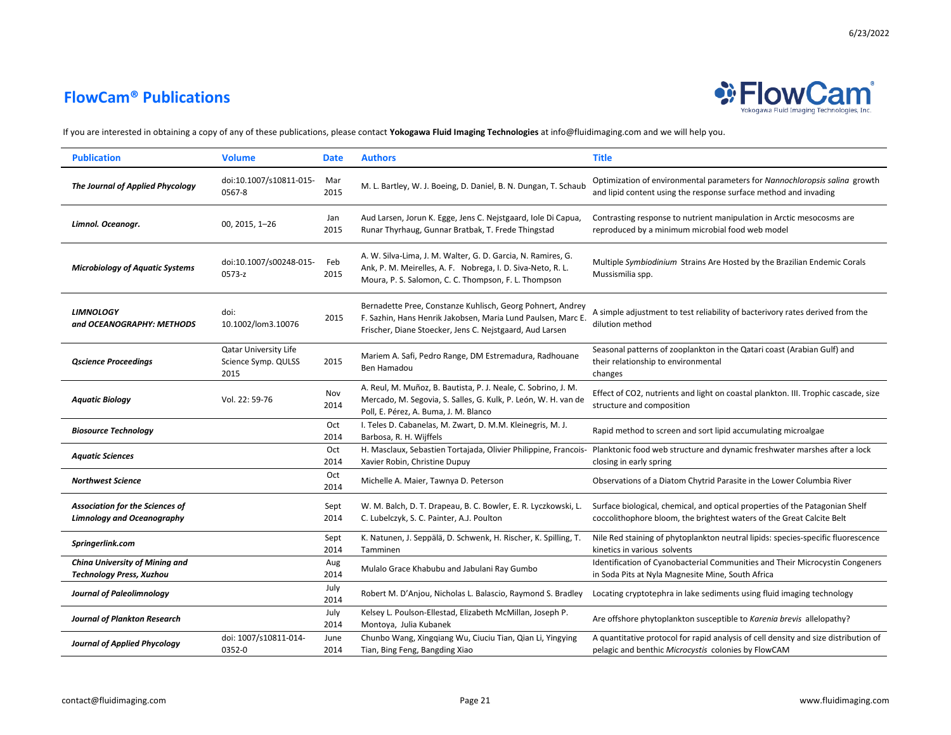

| <b>Publication</b>                                                          | <b>Volume</b>                                               | <b>Date</b>  | <b>Authors</b>                                                                                                                                                                         | <b>Title</b>                                                                                                                                          |
|-----------------------------------------------------------------------------|-------------------------------------------------------------|--------------|----------------------------------------------------------------------------------------------------------------------------------------------------------------------------------------|-------------------------------------------------------------------------------------------------------------------------------------------------------|
| The Journal of Applied Phycology                                            | doi:10.1007/s10811-015-<br>0567-8                           | Mar<br>2015  | M. L. Bartley, W. J. Boeing, D. Daniel, B. N. Dungan, T. Schaub                                                                                                                        | Optimization of environmental parameters for Nannochloropsis salina growth<br>and lipid content using the response surface method and invading        |
| Limnol. Oceanogr.                                                           | 00, 2015, 1-26                                              | Jan<br>2015  | Aud Larsen, Jorun K. Egge, Jens C. Nejstgaard, Jole Di Capua,<br>Runar Thyrhaug, Gunnar Bratbak, T. Frede Thingstad                                                                    | Contrasting response to nutrient manipulation in Arctic mesocosms are<br>reproduced by a minimum microbial food web model                             |
| <b>Microbiology of Aquatic Systems</b>                                      | doi:10.1007/s00248-015-<br>0573-z                           | Feb<br>2015  | A. W. Silva-Lima, J. M. Walter, G. D. Garcia, N. Ramires, G.<br>Ank, P. M. Meirelles, A. F. Nobrega, I. D. Siva-Neto, R. L.<br>Moura, P. S. Salomon, C. C. Thompson, F. L. Thompson    | Multiple Symbiodinium Strains Are Hosted by the Brazilian Endemic Corals<br>Mussismilia spp.                                                          |
| <b>LIMNOLOGY</b><br>and OCEANOGRAPHY: METHODS                               | doi:<br>10.1002/lom3.10076                                  | 2015         | Bernadette Pree, Constanze Kuhlisch, Georg Pohnert, Andrey<br>F. Sazhin, Hans Henrik Jakobsen, Maria Lund Paulsen, Marc E.<br>Frischer, Diane Stoecker, Jens C. Nejstgaard, Aud Larsen | A simple adjustment to test reliability of bacterivory rates derived from the<br>dilution method                                                      |
| <b>Qscience Proceedings</b>                                                 | <b>Qatar University Life</b><br>Science Symp. QULSS<br>2015 | 2015         | Mariem A. Safi, Pedro Range, DM Estremadura, Radhouane<br>Ben Hamadou                                                                                                                  | Seasonal patterns of zooplankton in the Qatari coast (Arabian Gulf) and<br>their relationship to environmental<br>changes                             |
| <b>Aquatic Biology</b>                                                      | Vol. 22: 59-76                                              | Nov<br>2014  | A. Reul, M. Muñoz, B. Bautista, P. J. Neale, C. Sobrino, J. M.<br>Mercado, M. Segovia, S. Salles, G. Kulk, P. León, W. H. van de<br>Poll, E. Pérez, A. Buma, J. M. Blanco              | Effect of CO2, nutrients and light on coastal plankton. III. Trophic cascade, size<br>structure and composition                                       |
| <b>Biosource Technology</b>                                                 |                                                             | Oct<br>2014  | I. Teles D. Cabanelas, M. Zwart, D. M.M. Kleinegris, M. J.<br>Barbosa, R. H. Wijffels                                                                                                  | Rapid method to screen and sort lipid accumulating microalgae                                                                                         |
| <b>Aquatic Sciences</b>                                                     |                                                             | Oct<br>2014  | H. Masclaux, Sebastien Tortajada, Olivier Philippine, Francois-<br>Xavier Robin, Christine Dupuy                                                                                       | Planktonic food web structure and dynamic freshwater marshes after a lock<br>closing in early spring                                                  |
| Northwest Science                                                           |                                                             | Oct<br>2014  | Michelle A. Maier, Tawnya D. Peterson                                                                                                                                                  | Observations of a Diatom Chytrid Parasite in the Lower Columbia River                                                                                 |
| <b>Association for the Sciences of</b><br><b>Limnology and Oceanography</b> |                                                             | Sept<br>2014 | W. M. Balch, D. T. Drapeau, B. C. Bowler, E. R. Lyczkowski, L.<br>C. Lubelczyk, S. C. Painter, A.J. Poulton                                                                            | Surface biological, chemical, and optical properties of the Patagonian Shelf<br>coccolithophore bloom, the brightest waters of the Great Calcite Belt |
| Springerlink.com                                                            |                                                             | Sept<br>2014 | K. Natunen, J. Seppälä, D. Schwenk, H. Rischer, K. Spilling, T.<br>Tamminen                                                                                                            | Nile Red staining of phytoplankton neutral lipids: species-specific fluorescence<br>kinetics in various solvents                                      |
| China University of Mining and<br><b>Technology Press, Xuzhou</b>           |                                                             | Aug<br>2014  | Mulalo Grace Khabubu and Jabulani Ray Gumbo                                                                                                                                            | Identification of Cyanobacterial Communities and Their Microcystin Congeners<br>in Soda Pits at Nyla Magnesite Mine, South Africa                     |
| <b>Journal of Paleolimnology</b>                                            |                                                             | July<br>2014 | Robert M. D'Anjou, Nicholas L. Balascio, Raymond S. Bradley                                                                                                                            | Locating cryptotephra in lake sediments using fluid imaging technology                                                                                |
| <b>Journal of Plankton Research</b>                                         |                                                             | July<br>2014 | Kelsey L. Poulson-Ellestad, Elizabeth McMillan, Joseph P.<br>Montoya, Julia Kubanek                                                                                                    | Are offshore phytoplankton susceptible to Karenia brevis allelopathy?                                                                                 |
| <b>Journal of Applied Phycology</b>                                         | doi: 1007/s10811-014-<br>0352-0                             | June<br>2014 | Chunbo Wang, Xingqiang Wu, Ciuciu Tian, Qian Li, Yingying<br>Tian, Bing Feng, Bangding Xiao                                                                                            | A quantitative protocol for rapid analysis of cell density and size distribution of<br>pelagic and benthic Microcystis colonies by FlowCAM            |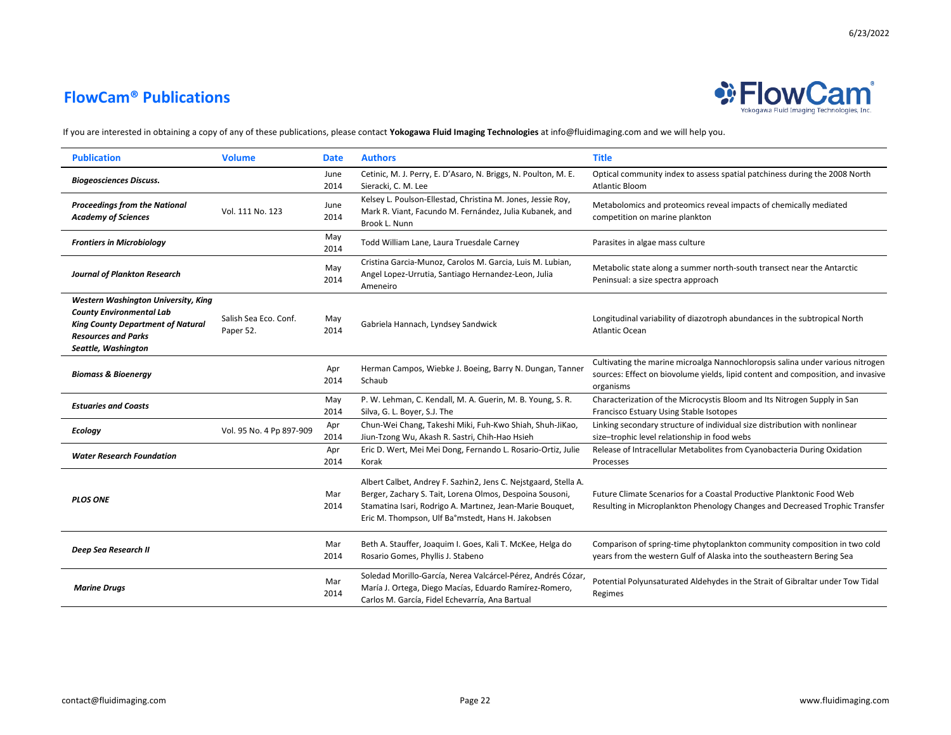

| <b>Publication</b>                                                                                                                                                      | <b>Volume</b>                      | <b>Date</b>  | <b>Authors</b>                                                                                                                                                                                                                                | <b>Title</b>                                                                                                                                                                    |
|-------------------------------------------------------------------------------------------------------------------------------------------------------------------------|------------------------------------|--------------|-----------------------------------------------------------------------------------------------------------------------------------------------------------------------------------------------------------------------------------------------|---------------------------------------------------------------------------------------------------------------------------------------------------------------------------------|
| <b>Biogeosciences Discuss.</b>                                                                                                                                          |                                    | June<br>2014 | Cetinic, M. J. Perry, E. D'Asaro, N. Briggs, N. Poulton, M. E.<br>Sieracki, C. M. Lee                                                                                                                                                         | Optical community index to assess spatial patchiness during the 2008 North<br><b>Atlantic Bloom</b>                                                                             |
| <b>Proceedings from the National</b><br><b>Academy of Sciences</b>                                                                                                      | Vol. 111 No. 123                   | June<br>2014 | Kelsey L. Poulson-Ellestad, Christina M. Jones, Jessie Roy,<br>Mark R. Viant, Facundo M. Fernández, Julia Kubanek, and<br>Brook L. Nunn                                                                                                       | Metabolomics and proteomics reveal impacts of chemically mediated<br>competition on marine plankton                                                                             |
| <b>Frontiers in Microbiology</b>                                                                                                                                        |                                    | May<br>2014  | Todd William Lane, Laura Truesdale Carney                                                                                                                                                                                                     | Parasites in algae mass culture                                                                                                                                                 |
| <b>Journal of Plankton Research</b>                                                                                                                                     |                                    | May<br>2014  | Cristina Garcia-Munoz, Carolos M. Garcia, Luis M. Lubian,<br>Angel Lopez-Urrutia, Santiago Hernandez-Leon, Julia<br>Ameneiro                                                                                                                  | Metabolic state along a summer north-south transect near the Antarctic<br>Peninsual: a size spectra approach                                                                    |
| Western Washington University, King<br><b>County Environmental Lab</b><br><b>King County Department of Natural</b><br><b>Resources and Parks</b><br>Seattle, Washington | Salish Sea Eco. Conf.<br>Paper 52. | May<br>2014  | Gabriela Hannach, Lyndsey Sandwick                                                                                                                                                                                                            | Longitudinal variability of diazotroph abundances in the subtropical North<br><b>Atlantic Ocean</b>                                                                             |
| <b>Biomass &amp; Bioenergy</b>                                                                                                                                          |                                    | Apr<br>2014  | Herman Campos, Wiebke J. Boeing, Barry N. Dungan, Tanner<br>Schaub                                                                                                                                                                            | Cultivating the marine microalga Nannochloropsis salina under various nitrogen<br>sources: Effect on biovolume yields, lipid content and composition, and invasive<br>organisms |
| <b>Estuaries and Coasts</b>                                                                                                                                             |                                    | May<br>2014  | P. W. Lehman, C. Kendall, M. A. Guerin, M. B. Young, S. R.<br>Silva, G. L. Boyer, S.J. The                                                                                                                                                    | Characterization of the Microcystis Bloom and Its Nitrogen Supply in San<br>Francisco Estuary Using Stable Isotopes                                                             |
| <b>Ecology</b>                                                                                                                                                          | Vol. 95 No. 4 Pp 897-909           | Apr<br>2014  | Chun-Wei Chang, Takeshi Miki, Fuh-Kwo Shiah, Shuh-JiKao,<br>Jiun-Tzong Wu, Akash R. Sastri, Chih-Hao Hsieh                                                                                                                                    | Linking secondary structure of individual size distribution with nonlinear<br>size-trophic level relationship in food webs                                                      |
| <b>Water Research Foundation</b>                                                                                                                                        |                                    | Apr<br>2014  | Eric D. Wert, Mei Mei Dong, Fernando L. Rosario-Ortiz, Julie<br>Korak                                                                                                                                                                         | Release of Intracellular Metabolites from Cyanobacteria During Oxidation<br>Processes                                                                                           |
| <b>PLOS ONE</b>                                                                                                                                                         |                                    | Mar<br>2014  | Albert Calbet, Andrey F. Sazhin2, Jens C. Nejstgaard, Stella A.<br>Berger, Zachary S. Tait, Lorena Olmos, Despoina Sousoni,<br>Stamatina Isari, Rodrigo A. Martinez, Jean-Marie Bouquet,<br>Eric M. Thompson, Ulf Ba°mstedt, Hans H. Jakobsen | Future Climate Scenarios for a Coastal Productive Planktonic Food Web<br>Resulting in Microplankton Phenology Changes and Decreased Trophic Transfer                            |
| Deep Sea Research II                                                                                                                                                    |                                    | Mar<br>2014  | Beth A. Stauffer, Joaquim I. Goes, Kali T. McKee, Helga do<br>Rosario Gomes, Phyllis J. Stabeno                                                                                                                                               | Comparison of spring-time phytoplankton community composition in two cold<br>years from the western Gulf of Alaska into the southeastern Bering Sea                             |
| <b>Marine Drugs</b>                                                                                                                                                     |                                    | Mar<br>2014  | Soledad Morillo-García, Nerea Valcárcel-Pérez, Andrés Cózar,<br>María J. Ortega, Diego Macías, Eduardo Ramírez-Romero,<br>Carlos M. García, Fidel Echevarría, Ana Bartual                                                                     | Potential Polyunsaturated Aldehydes in the Strait of Gibraltar under Tow Tidal<br>Regimes                                                                                       |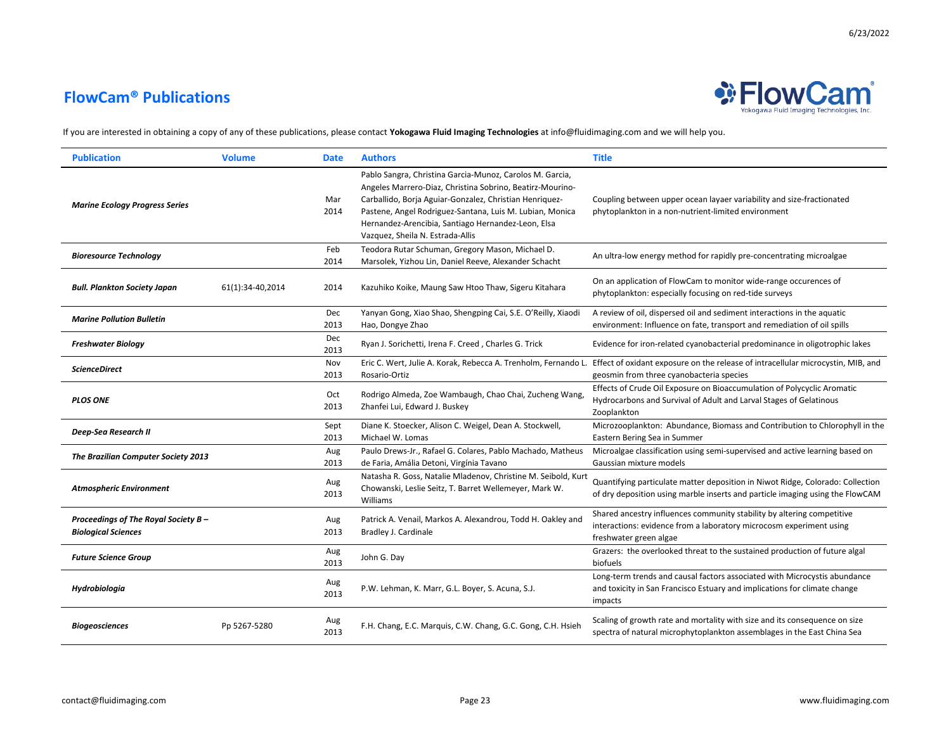

| <b>Publication</b>                                                 | <b>Volume</b>    | <b>Date</b>  | <b>Authors</b>                                                                                                                                                                                                                                                                                                                         | <b>Title</b>                                                                                                                                                            |
|--------------------------------------------------------------------|------------------|--------------|----------------------------------------------------------------------------------------------------------------------------------------------------------------------------------------------------------------------------------------------------------------------------------------------------------------------------------------|-------------------------------------------------------------------------------------------------------------------------------------------------------------------------|
| <b>Marine Ecology Progress Series</b>                              |                  | Mar<br>2014  | Pablo Sangra, Christina Garcia-Munoz, Carolos M. Garcia,<br>Angeles Marrero-Diaz, Christina Sobrino, Beatirz-Mourino-<br>Carballido, Borja Aguiar-Gonzalez, Christian Henriquez-<br>Pastene, Angel Rodriguez-Santana, Luis M. Lubian, Monica<br>Hernandez-Arencibia, Santiago Hernandez-Leon, Elsa<br>Vazquez, Sheila N. Estrada-Allis | Coupling between upper ocean layaer variability and size-fractionated<br>phytoplankton in a non-nutrient-limited environment                                            |
| <b>Bioresource Technology</b>                                      |                  | Feb<br>2014  | Teodora Rutar Schuman, Gregory Mason, Michael D.<br>Marsolek, Yizhou Lin, Daniel Reeve, Alexander Schacht                                                                                                                                                                                                                              | An ultra-low energy method for rapidly pre-concentrating microalgae                                                                                                     |
| <b>Bull. Plankton Society Japan</b>                                | 61(1):34-40,2014 | 2014         | Kazuhiko Koike, Maung Saw Htoo Thaw, Sigeru Kitahara                                                                                                                                                                                                                                                                                   | On an application of FlowCam to monitor wide-range occurences of<br>phytoplankton: especially focusing on red-tide surveys                                              |
| <b>Marine Pollution Bulletin</b>                                   |                  | Dec<br>2013  | Yanyan Gong, Xiao Shao, Shengping Cai, S.E. O'Reilly, Xiaodi<br>Hao, Dongye Zhao                                                                                                                                                                                                                                                       | A review of oil, dispersed oil and sediment interactions in the aquatic<br>environment: Influence on fate, transport and remediation of oil spills                      |
| <b>Freshwater Biology</b>                                          |                  | Dec<br>2013  | Ryan J. Sorichetti, Irena F. Creed, Charles G. Trick                                                                                                                                                                                                                                                                                   | Evidence for iron-related cyanobacterial predominance in oligotrophic lakes                                                                                             |
| <b>ScienceDirect</b>                                               |                  | Nov<br>2013  | Eric C. Wert, Julie A. Korak, Rebecca A. Trenholm, Fernando L.<br>Rosario-Ortiz                                                                                                                                                                                                                                                        | Effect of oxidant exposure on the release of intracellular microcystin, MIB, and<br>geosmin from three cyanobacteria species                                            |
| <b>PLOS ONE</b>                                                    |                  | Oct<br>2013  | Rodrigo Almeda, Zoe Wambaugh, Chao Chai, Zucheng Wang,<br>Zhanfei Lui, Edward J. Buskey                                                                                                                                                                                                                                                | Effects of Crude Oil Exposure on Bioaccumulation of Polycyclic Aromatic<br>Hydrocarbons and Survival of Adult and Larval Stages of Gelatinous<br>Zooplankton            |
| Deep-Sea Research II                                               |                  | Sept<br>2013 | Diane K. Stoecker, Alison C. Weigel, Dean A. Stockwell,<br>Michael W. Lomas                                                                                                                                                                                                                                                            | Microzooplankton: Abundance, Biomass and Contribution to Chlorophyll in the<br>Eastern Bering Sea in Summer                                                             |
| The Brazilian Computer Society 2013                                |                  | Aug<br>2013  | Paulo Drews-Jr., Rafael G. Colares, Pablo Machado, Matheus<br>de Faria, Amália Detoni, Virgínia Tavano                                                                                                                                                                                                                                 | Microalgae classification using semi-supervised and active learning based on<br>Gaussian mixture models                                                                 |
| <b>Atmospheric Environment</b>                                     |                  | Aug<br>2013  | Natasha R. Goss, Natalie Mladenov, Christine M. Seibold, Kurt<br>Chowanski, Leslie Seitz, T. Barret Wellemeyer, Mark W.<br>Williams                                                                                                                                                                                                    | Quantifying particulate matter deposition in Niwot Ridge, Colorado: Collection<br>of dry deposition using marble inserts and particle imaging using the FlowCAM         |
| Proceedings of The Royal Society B -<br><b>Biological Sciences</b> |                  | Aug<br>2013  | Patrick A. Venail, Markos A. Alexandrou, Todd H. Oakley and<br>Bradley J. Cardinale                                                                                                                                                                                                                                                    | Shared ancestry influences community stability by altering competitive<br>interactions: evidence from a laboratory microcosm experiment using<br>freshwater green algae |
| <b>Future Science Group</b>                                        |                  | Aug<br>2013  | John G. Day                                                                                                                                                                                                                                                                                                                            | Grazers: the overlooked threat to the sustained production of future algal<br>biofuels                                                                                  |
| Hydrobiologia                                                      |                  | Aug<br>2013  | P.W. Lehman, K. Marr, G.L. Boyer, S. Acuna, S.J.                                                                                                                                                                                                                                                                                       | Long-term trends and causal factors associated with Microcystis abundance<br>and toxicity in San Francisco Estuary and implications for climate change<br>impacts       |
| Biogeosciences                                                     | Pp 5267-5280     | Aug<br>2013  | F.H. Chang, E.C. Marquis, C.W. Chang, G.C. Gong, C.H. Hsieh                                                                                                                                                                                                                                                                            | Scaling of growth rate and mortality with size and its consequence on size<br>spectra of natural microphytoplankton assemblages in the East China Sea                   |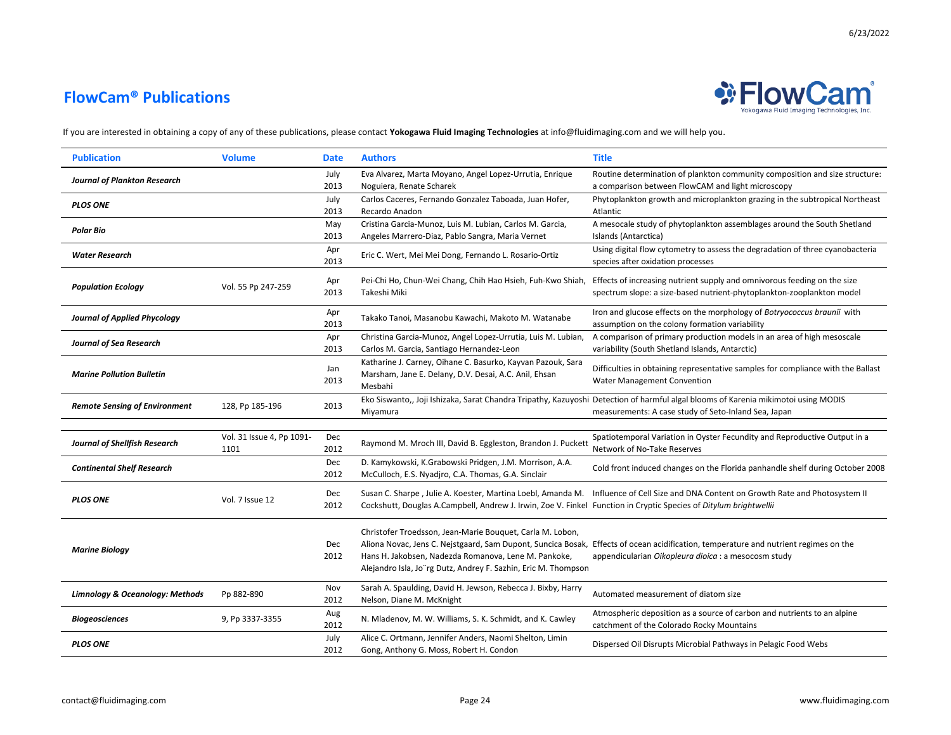

| <b>Publication</b>                   | <b>Volume</b>                     | <b>Date</b>  | <b>Authors</b>                                                                                                                                                                      | <b>Title</b>                                                                                                                                                                                 |
|--------------------------------------|-----------------------------------|--------------|-------------------------------------------------------------------------------------------------------------------------------------------------------------------------------------|----------------------------------------------------------------------------------------------------------------------------------------------------------------------------------------------|
| <b>Journal of Plankton Research</b>  |                                   | July<br>2013 | Eva Alvarez, Marta Moyano, Angel Lopez-Urrutia, Enrique<br>Noguiera, Renate Scharek                                                                                                 | Routine determination of plankton community composition and size structure:<br>a comparison between FlowCAM and light microscopy                                                             |
| <b>PLOS ONE</b>                      |                                   | July<br>2013 | Carlos Caceres, Fernando Gonzalez Taboada, Juan Hofer,<br>Recardo Anadon                                                                                                            | Phytoplankton growth and microplankton grazing in the subtropical Northeast<br>Atlantic                                                                                                      |
| Polar Bio                            |                                   | May<br>2013  | Cristina Garcia-Munoz, Luis M. Lubian, Carlos M. Garcia,<br>Angeles Marrero-Diaz, Pablo Sangra, Maria Vernet                                                                        | A mesocale study of phytoplankton assemblages around the South Shetland<br>Islands (Antarctica)                                                                                              |
| <b>Water Research</b>                |                                   | Apr<br>2013  | Eric C. Wert, Mei Mei Dong, Fernando L. Rosario-Ortiz                                                                                                                               | Using digital flow cytometry to assess the degradation of three cyanobacteria<br>species after oxidation processes                                                                           |
| <b>Population Ecology</b>            | Vol. 55 Pp 247-259                | Apr<br>2013  | Pei-Chi Ho, Chun-Wei Chang, Chih Hao Hsieh, Fuh-Kwo Shiah,<br>Takeshi Miki                                                                                                          | Effects of increasing nutrient supply and omnivorous feeding on the size<br>spectrum slope: a size-based nutrient-phytoplankton-zooplankton model                                            |
| <b>Journal of Applied Phycology</b>  |                                   | Apr<br>2013  | Takako Tanoi, Masanobu Kawachi, Makoto M. Watanabe                                                                                                                                  | Iron and glucose effects on the morphology of Botryococcus braunii with<br>assumption on the colony formation variability                                                                    |
| <b>Journal of Sea Research</b>       |                                   | Apr<br>2013  | Christina Garcia-Munoz, Angel Lopez-Urrutia, Luis M. Lubian,<br>Carlos M. Garcia, Santiago Hernandez-Leon                                                                           | A comparison of primary production models in an area of high mesoscale<br>variability (South Shetland Islands, Antarctic)                                                                    |
| <b>Marine Pollution Bulletin</b>     |                                   | Jan<br>2013  | Katharine J. Carney, Oihane C. Basurko, Kayvan Pazouk, Sara<br>Marsham, Jane E. Delany, D.V. Desai, A.C. Anil, Ehsan<br>Mesbahi                                                     | Difficulties in obtaining representative samples for compliance with the Ballast<br>Water Management Convention                                                                              |
| <b>Remote Sensing of Environment</b> | 128, Pp 185-196                   | 2013         | Miyamura                                                                                                                                                                            | Eko Siswanto,, Joji Ishizaka, Sarat Chandra Tripathy, Kazuyoshi Detection of harmful algal blooms of Karenia mikimotoi using MODIS<br>measurements: A case study of Seto-Inland Sea, Japan   |
|                                      |                                   |              |                                                                                                                                                                                     |                                                                                                                                                                                              |
| Journal of Shellfish Research        | Vol. 31 Issue 4, Pp 1091-<br>1101 | Dec<br>2012  | Raymond M. Mroch III, David B. Eggleston, Brandon J. Puckett                                                                                                                        | Spatiotemporal Variation in Oyster Fecundity and Reproductive Output in a<br>Network of No-Take Reserves                                                                                     |
| <b>Continental Shelf Research</b>    |                                   | Dec<br>2012  | D. Kamykowski, K.Grabowski Pridgen, J.M. Morrison, A.A.<br>McCulloch, E.S. Nyadjro, C.A. Thomas, G.A. Sinclair                                                                      | Cold front induced changes on the Florida panhandle shelf during October 2008                                                                                                                |
| <b>PLOS ONE</b>                      | Vol. 7 Issue 12                   | Dec<br>2012  | Susan C. Sharpe, Julie A. Koester, Martina Loebl, Amanda M.<br>Cockshutt, Douglas A.Campbell, Andrew J. Irwin, Zoe V. Finkel Function in Cryptic Species of Ditylum brightwellii    | Influence of Cell Size and DNA Content on Growth Rate and Photosystem II                                                                                                                     |
| <b>Marine Biology</b>                |                                   | Dec<br>2012  | Christofer Troedsson, Jean-Marie Bouquet, Carla M. Lobon,<br>Hans H. Jakobsen, Nadezda Romanova, Lene M. Pankoke,<br>Alejandro Isla, Jo"rg Dutz, Andrey F. Sazhin, Eric M. Thompson | Aliona Novac, Jens C. Nejstgaard, Sam Dupont, Suncica Bosak, Effects of ocean acidification, temperature and nutrient regimes on the<br>appendicularian Oikopleura dioica : a mesocosm study |
| Limnology & Oceanology: Methods      | Pp 882-890                        | Nov<br>2012  | Sarah A. Spaulding, David H. Jewson, Rebecca J. Bixby, Harry<br>Nelson, Diane M. McKnight                                                                                           | Automated measurement of diatom size                                                                                                                                                         |
| <b>Biogeosciences</b>                | 9, Pp 3337-3355                   | Aug<br>2012  | N. Mladenov, M. W. Williams, S. K. Schmidt, and K. Cawley                                                                                                                           | Atmospheric deposition as a source of carbon and nutrients to an alpine<br>catchment of the Colorado Rocky Mountains                                                                         |
| <b>PLOS ONE</b>                      |                                   | July<br>2012 | Alice C. Ortmann, Jennifer Anders, Naomi Shelton, Limin<br>Gong, Anthony G. Moss, Robert H. Condon                                                                                  | Dispersed Oil Disrupts Microbial Pathways in Pelagic Food Webs                                                                                                                               |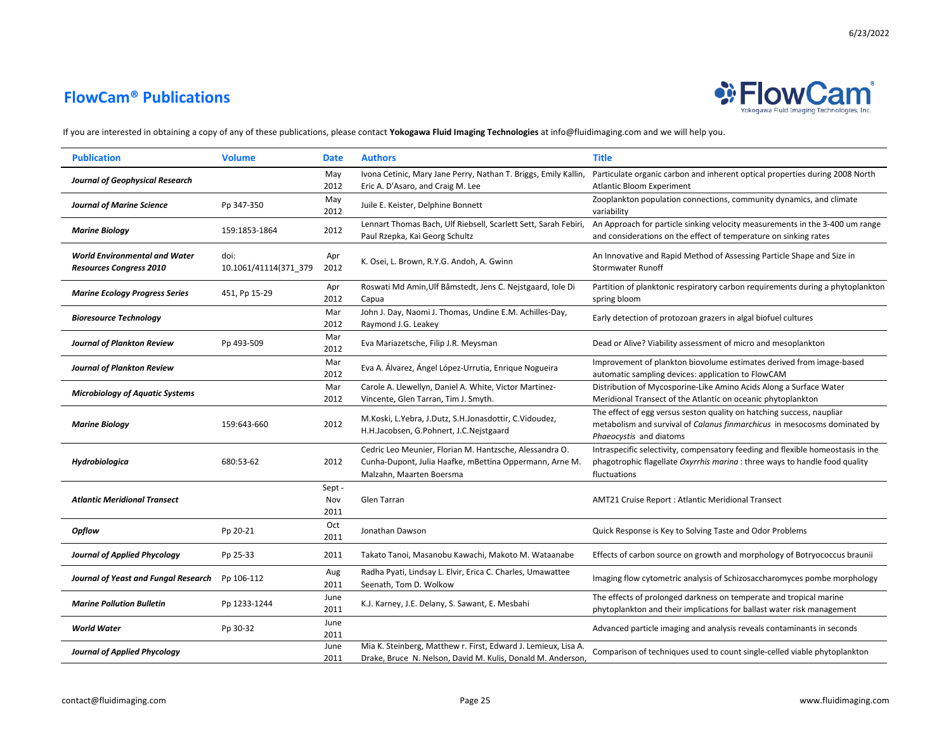

| <b>Publication</b>                                                     | <b>Volume</b>                 | <b>Date</b>           | <b>Authors</b>                                                                                                                                 | <b>Title</b>                                                                                                                                                                   |
|------------------------------------------------------------------------|-------------------------------|-----------------------|------------------------------------------------------------------------------------------------------------------------------------------------|--------------------------------------------------------------------------------------------------------------------------------------------------------------------------------|
| <b>Journal of Geophysical Research</b>                                 |                               | May<br>2012           | Ivona Cetinic, Mary Jane Perry, Nathan T. Briggs, Emily Kallin,<br>Eric A. D'Asaro, and Craig M. Lee                                           | Particulate organic carbon and inherent optical properties during 2008 North<br><b>Atlantic Bloom Experiment</b>                                                               |
| <b>Journal of Marine Science</b>                                       | Pp 347-350                    | May<br>2012           | Juile E. Keister, Delphine Bonnett                                                                                                             | Zooplankton population connections, community dynamics, and climate<br>variability                                                                                             |
| <b>Marine Biology</b>                                                  | 159:1853-1864                 | 2012                  | Lennart Thomas Bach, Ulf Riebsell, Scarlett Sett, Sarah Febiri,<br>Paul Rzepka, Kai Georg Schultz                                              | An Approach for particle sinking velocity measurements in the 3-400 um range<br>and considerations on the effect of temperature on sinking rates                               |
| <b>World Environmental and Water</b><br><b>Resources Congress 2010</b> | doi:<br>10.1061/41114(371 379 | Apr<br>2012           | K. Osei, L. Brown, R.Y.G. Andoh, A. Gwinn                                                                                                      | An Innovative and Rapid Method of Assessing Particle Shape and Size in<br><b>Stormwater Runoff</b>                                                                             |
| <b>Marine Ecology Progress Series</b>                                  | 451, Pp 15-29                 | Apr<br>2012           | Roswati Md Amin, Ulf Båmstedt, Jens C. Nejstgaard, Iole Di<br>Capua                                                                            | Partition of planktonic respiratory carbon requirements during a phytoplankton<br>spring bloom                                                                                 |
| <b>Bioresource Technology</b>                                          |                               | Mar<br>2012           | John J. Day, Naomi J. Thomas, Undine E.M. Achilles-Day,<br>Raymond J.G. Leakey                                                                 | Early detection of protozoan grazers in algal biofuel cultures                                                                                                                 |
| <b>Journal of Plankton Review</b>                                      | Pp 493-509                    | Mar<br>2012           | Eva Mariazetsche, Filip J.R. Meysman                                                                                                           | Dead or Alive? Viability assessment of micro and mesoplankton                                                                                                                  |
| <b>Journal of Plankton Review</b>                                      |                               | Mar<br>2012           | Eva A. Álvarez, Ángel López-Urrutia, Enrique Nogueira                                                                                          | Improvement of plankton biovolume estimates derived from image-based<br>automatic sampling devices: application to FlowCAM                                                     |
| <b>Microbiology of Aquatic Systems</b>                                 |                               | Mar<br>2012           | Carole A. Llewellyn, Daniel A. White, Victor Martinez-<br>Vincente, Glen Tarran, Tim J. Smyth.                                                 | Distribution of Mycosporine-Like Amino Acids Along a Surface Water<br>Meridional Transect of the Atlantic on oceanic phytoplankton                                             |
| <b>Marine Biology</b>                                                  | 159:643-660                   | 2012                  | M.Koski, L.Yebra, J.Dutz, S.H.Jonasdottir, C.Vidoudez,<br>H.H.Jacobsen, G.Pohnert, J.C.Nejstgaard                                              | The effect of egg versus seston quality on hatching success, naupliar<br>metabolism and survival of Calanus finmarchicus in mesocosms dominated by<br>Phaeocystis and diatoms  |
| Hydrobiologica                                                         | 680:53-62                     | 2012                  | Cedric Leo Meunier, Florian M. Hantzsche, Alessandra O.<br>Cunha-Dupont, Julia Haafke, mBettina Oppermann, Arne M.<br>Malzahn, Maarten Boersma | Intraspecific selectivity, compensatory feeding and flexible homeostasis in the<br>phagotrophic flagellate Oxyrrhis marina : three ways to handle food quality<br>fluctuations |
| <b>Atlantic Meridional Transect</b>                                    |                               | Sept -<br>Nov<br>2011 | Glen Tarran                                                                                                                                    | <b>AMT21 Cruise Report: Atlantic Meridional Transect</b>                                                                                                                       |
| Opflow                                                                 | Pp 20-21                      | Oct<br>2011           | Jonathan Dawson                                                                                                                                | Quick Response is Key to Solving Taste and Odor Problems                                                                                                                       |
| <b>Journal of Applied Phycology</b>                                    | Pp 25-33                      | 2011                  | Takato Tanoi, Masanobu Kawachi, Makoto M. Wataanabe                                                                                            | Effects of carbon source on growth and morphology of Botryococcus braunii                                                                                                      |
| Journal of Yeast and Fungal Research                                   | Pp 106-112                    | Aug<br>2011           | Radha Pyati, Lindsay L. Elvir, Erica C. Charles, Umawattee<br>Seenath, Tom D. Wolkow                                                           | Imaging flow cytometric analysis of Schizosaccharomyces pombe morphology                                                                                                       |
| <b>Marine Pollution Bulletin</b>                                       | Pp 1233-1244                  | June<br>2011          | K.J. Karney, J.E. Delany, S. Sawant, E. Mesbahi                                                                                                | The effects of prolonged darkness on temperate and tropical marine<br>phytoplankton and their implications for ballast water risk management                                   |
| <b>World Water</b>                                                     | Pp 30-32                      | June<br>2011          |                                                                                                                                                | Advanced particle imaging and analysis reveals contaminants in seconds                                                                                                         |
| <b>Journal of Applied Phycology</b>                                    |                               | June<br>2011          | Mia K. Steinberg, Matthew r. First, Edward J. Lemieux, Lisa A.<br>Drake, Bruce N. Nelson, David M. Kulis, Donald M. Anderson,                  | Comparison of techniques used to count single-celled viable phytoplankton                                                                                                      |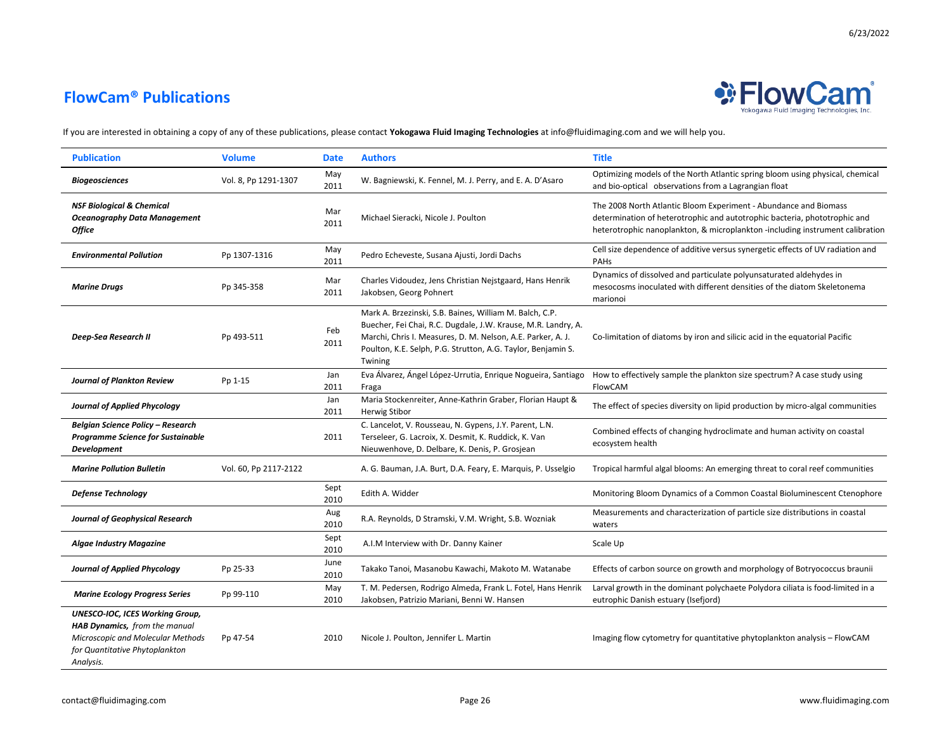## **FlowCam® Publications**



6/23/2022

| <b>Publication</b>                                                                                                                                          | <b>Volume</b>         | <b>Date</b>  | <b>Authors</b>                                                                                                                                                                                                                                                     | <b>Title</b>                                                                                                                                                                                                                   |
|-------------------------------------------------------------------------------------------------------------------------------------------------------------|-----------------------|--------------|--------------------------------------------------------------------------------------------------------------------------------------------------------------------------------------------------------------------------------------------------------------------|--------------------------------------------------------------------------------------------------------------------------------------------------------------------------------------------------------------------------------|
| <b>Biogeosciences</b>                                                                                                                                       | Vol. 8, Pp 1291-1307  | May<br>2011  | W. Bagniewski, K. Fennel, M. J. Perry, and E. A. D'Asaro                                                                                                                                                                                                           | Optimizing models of the North Atlantic spring bloom using physical, chemical<br>and bio-optical observations from a Lagrangian float                                                                                          |
| <b>NSF Biological &amp; Chemical</b><br><b>Oceanography Data Management</b><br><b>Office</b>                                                                |                       | Mar<br>2011  | Michael Sieracki, Nicole J. Poulton                                                                                                                                                                                                                                | The 2008 North Atlantic Bloom Experiment - Abundance and Biomass<br>determination of heterotrophic and autotrophic bacteria, phototrophic and<br>heterotrophic nanoplankton, & microplankton -including instrument calibration |
| <b>Environmental Pollution</b>                                                                                                                              | Pp 1307-1316          | May<br>2011  | Pedro Echeveste, Susana Ajusti, Jordi Dachs                                                                                                                                                                                                                        | Cell size dependence of additive versus synergetic effects of UV radiation and<br>PAHS                                                                                                                                         |
| <b>Marine Drugs</b>                                                                                                                                         | Pp 345-358            | Mar<br>2011  | Charles Vidoudez, Jens Christian Nejstgaard, Hans Henrik<br>Jakobsen, Georg Pohnert                                                                                                                                                                                | Dynamics of dissolved and particulate polyunsaturated aldehydes in<br>mesocosms inoculated with different densities of the diatom Skeletonema<br>marionoi                                                                      |
| Deep-Sea Research II                                                                                                                                        | Pp 493-511            | Feb<br>2011  | Mark A. Brzezinski, S.B. Baines, William M. Balch, C.P.<br>Buecher, Fei Chai, R.C. Dugdale, J.W. Krause, M.R. Landry, A.<br>Marchi, Chris I. Measures, D. M. Nelson, A.E. Parker, A. J.<br>Poulton, K.E. Selph, P.G. Strutton, A.G. Taylor, Benjamin S.<br>Twining | Co-limitation of diatoms by iron and silicic acid in the equatorial Pacific                                                                                                                                                    |
| <b>Journal of Plankton Review</b>                                                                                                                           | Pp 1-15               | Jan<br>2011  | Eva Álvarez, Ángel López-Urrutia, Enrique Nogueira, Santiago<br>Fraga                                                                                                                                                                                              | How to effectively sample the plankton size spectrum? A case study using<br>FlowCAM                                                                                                                                            |
| <b>Journal of Applied Phycology</b>                                                                                                                         |                       | Jan<br>2011  | Maria Stockenreiter, Anne-Kathrin Graber, Florian Haupt &<br><b>Herwig Stibor</b>                                                                                                                                                                                  | The effect of species diversity on lipid production by micro-algal communities                                                                                                                                                 |
| Belgian Science Policy - Research<br><b>Programme Science for Sustainable</b><br><b>Development</b>                                                         |                       | 2011         | C. Lancelot, V. Rousseau, N. Gypens, J.Y. Parent, L.N.<br>Terseleer, G. Lacroix, X. Desmit, K. Ruddick, K. Van<br>Nieuwenhove, D. Delbare, K. Denis, P. Grosjean                                                                                                   | Combined effects of changing hydroclimate and human activity on coastal<br>ecosystem health                                                                                                                                    |
| <b>Marine Pollution Bulletin</b>                                                                                                                            | Vol. 60, Pp 2117-2122 |              | A. G. Bauman, J.A. Burt, D.A. Feary, E. Marquis, P. Usselgio                                                                                                                                                                                                       | Tropical harmful algal blooms: An emerging threat to coral reef communities                                                                                                                                                    |
| <b>Defense Technology</b>                                                                                                                                   |                       | Sept<br>2010 | Edith A. Widder                                                                                                                                                                                                                                                    | Monitoring Bloom Dynamics of a Common Coastal Bioluminescent Ctenophore                                                                                                                                                        |
| <b>Journal of Geophysical Research</b>                                                                                                                      |                       | Aug<br>2010  | R.A. Reynolds, D Stramski, V.M. Wright, S.B. Wozniak                                                                                                                                                                                                               | Measurements and characterization of particle size distributions in coastal<br>waters                                                                                                                                          |
| <b>Algae Industry Magazine</b>                                                                                                                              |                       | Sept<br>2010 | A.I.M Interview with Dr. Danny Kainer                                                                                                                                                                                                                              | Scale Up                                                                                                                                                                                                                       |
| <b>Journal of Applied Phycology</b>                                                                                                                         | Pp 25-33              | June<br>2010 | Takako Tanoi, Masanobu Kawachi, Makoto M. Watanabe                                                                                                                                                                                                                 | Effects of carbon source on growth and morphology of Botryococcus braunii                                                                                                                                                      |
| <b>Marine Ecology Progress Series</b>                                                                                                                       | Pp 99-110             | May<br>2010  | T. M. Pedersen, Rodrigo Almeda, Frank L. Fotel, Hans Henrik<br>Jakobsen, Patrizio Mariani, Benni W. Hansen                                                                                                                                                         | Larval growth in the dominant polychaete Polydora ciliata is food-limited in a<br>eutrophic Danish estuary (Isefjord)                                                                                                          |
| <b>UNESCO-IOC, ICES Working Group,</b><br>HAB Dynamics, from the manual<br>Microscopic and Molecular Methods<br>for Quantitative Phytoplankton<br>Analysis. | Pp 47-54              | 2010         | Nicole J. Poulton, Jennifer L. Martin                                                                                                                                                                                                                              | Imaging flow cytometry for quantitative phytoplankton analysis - FlowCAM                                                                                                                                                       |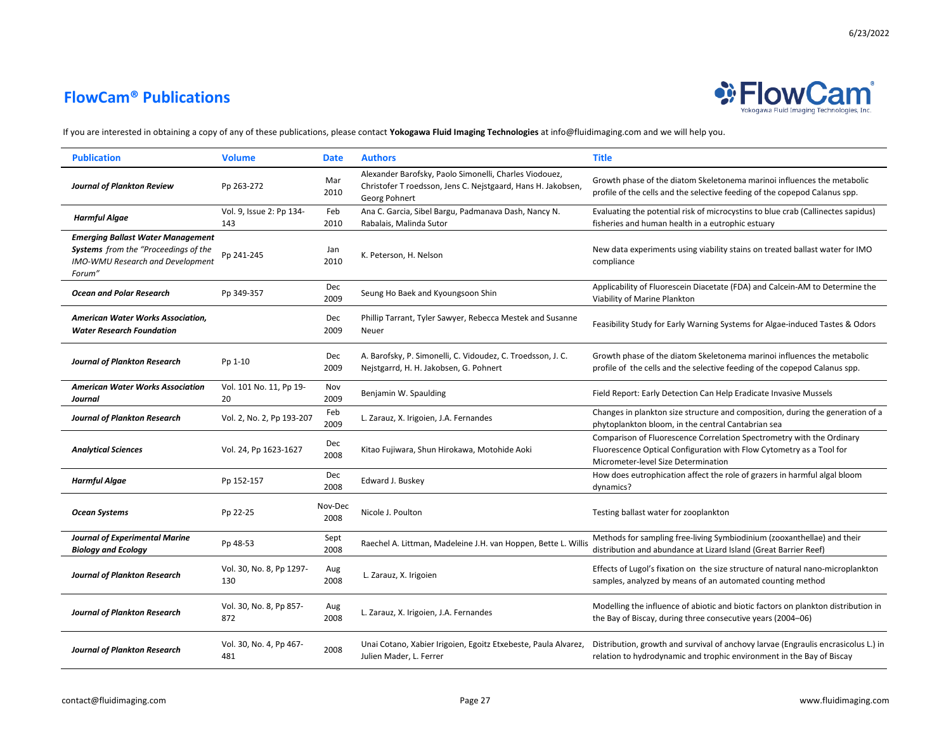

| <b>Publication</b>                                                                                                             | <b>Volume</b>                   | <b>Date</b>     | <b>Authors</b>                                                                                                                          | <b>Title</b>                                                                                                                                                                         |
|--------------------------------------------------------------------------------------------------------------------------------|---------------------------------|-----------------|-----------------------------------------------------------------------------------------------------------------------------------------|--------------------------------------------------------------------------------------------------------------------------------------------------------------------------------------|
| <b>Journal of Plankton Review</b>                                                                                              | Pp 263-272                      | Mar<br>2010     | Alexander Barofsky, Paolo Simonelli, Charles Viodouez,<br>Christofer T roedsson, Jens C. Nejstgaard, Hans H. Jakobsen,<br>Georg Pohnert | Growth phase of the diatom Skeletonema marinoi influences the metabolic<br>profile of the cells and the selective feeding of the copepod Calanus spp.                                |
| Harmful Algae                                                                                                                  | Vol. 9, Issue 2: Pp 134-<br>143 | Feb<br>2010     | Ana C. Garcia, Sibel Bargu, Padmanava Dash, Nancy N.<br>Rabalais, Malinda Sutor                                                         | Evaluating the potential risk of microcystins to blue crab (Callinectes sapidus)<br>fisheries and human health in a eutrophic estuary                                                |
| <b>Emerging Ballast Water Management</b><br>Systems from the "Proceedings of the<br>IMO-WMU Research and Development<br>Forum" | Pp 241-245                      | Jan<br>2010     | K. Peterson, H. Nelson                                                                                                                  | New data experiments using viability stains on treated ballast water for IMO<br>compliance                                                                                           |
| <b>Ocean and Polar Research</b>                                                                                                | Pp 349-357                      | Dec<br>2009     | Seung Ho Baek and Kyoungsoon Shin                                                                                                       | Applicability of Fluorescein Diacetate (FDA) and Calcein-AM to Determine the<br>Viability of Marine Plankton                                                                         |
| American Water Works Association,<br><b>Water Research Foundation</b>                                                          |                                 | Dec<br>2009     | Phillip Tarrant, Tyler Sawyer, Rebecca Mestek and Susanne<br>Neuer                                                                      | Feasibility Study for Early Warning Systems for Algae-induced Tastes & Odors                                                                                                         |
| Journal of Plankton Research                                                                                                   | Pp 1-10                         | Dec<br>2009     | A. Barofsky, P. Simonelli, C. Vidoudez, C. Troedsson, J. C.<br>Nejstgarrd, H. H. Jakobsen, G. Pohnert                                   | Growth phase of the diatom Skeletonema marinoi influences the metabolic<br>profile of the cells and the selective feeding of the copepod Calanus spp.                                |
| <b>American Water Works Association</b><br>Journal                                                                             | Vol. 101 No. 11, Pp 19-<br>20   | Nov<br>2009     | Benjamin W. Spaulding                                                                                                                   | Field Report: Early Detection Can Help Eradicate Invasive Mussels                                                                                                                    |
| <b>Journal of Plankton Research</b>                                                                                            | Vol. 2, No. 2, Pp 193-207       | Feb<br>2009     | L. Zarauz, X. Irigoien, J.A. Fernandes                                                                                                  | Changes in plankton size structure and composition, during the generation of a<br>phytoplankton bloom, in the central Cantabrian sea                                                 |
| <b>Analytical Sciences</b>                                                                                                     | Vol. 24, Pp 1623-1627           | Dec<br>2008     | Kitao Fujiwara, Shun Hirokawa, Motohide Aoki                                                                                            | Comparison of Fluorescence Correlation Spectrometry with the Ordinary<br>Fluorescence Optical Configuration with Flow Cytometry as a Tool for<br>Micrometer-level Size Determination |
| <b>Harmful Algae</b>                                                                                                           | Pp 152-157                      | Dec<br>2008     | Edward J. Buskey                                                                                                                        | How does eutrophication affect the role of grazers in harmful algal bloom<br>dynamics?                                                                                               |
| <b>Ocean Systems</b>                                                                                                           | Pp 22-25                        | Nov-Dec<br>2008 | Nicole J. Poulton                                                                                                                       | Testing ballast water for zooplankton                                                                                                                                                |
| <b>Journal of Experimental Marine</b><br><b>Biology and Ecology</b>                                                            | Pp 48-53                        | Sept<br>2008    | Raechel A. Littman, Madeleine J.H. van Hoppen, Bette L. Willis                                                                          | Methods for sampling free-living Symbiodinium (zooxanthellae) and their<br>distribution and abundance at Lizard Island (Great Barrier Reef)                                          |
| <b>Journal of Plankton Research</b>                                                                                            | Vol. 30, No. 8, Pp 1297-<br>130 | Aug<br>2008     | L. Zarauz, X. Irigoien                                                                                                                  | Effects of Lugol's fixation on the size structure of natural nano-microplankton<br>samples, analyzed by means of an automated counting method                                        |
| <b>Journal of Plankton Research</b>                                                                                            | Vol. 30, No. 8, Pp 857-<br>872  | Aug<br>2008     | L. Zarauz, X. Irigoien, J.A. Fernandes                                                                                                  | Modelling the influence of abiotic and biotic factors on plankton distribution in<br>the Bay of Biscay, during three consecutive years (2004-06)                                     |
| <b>Journal of Plankton Research</b>                                                                                            | Vol. 30, No. 4, Pp 467-<br>481  | 2008            | Unai Cotano, Xabier Irigoien, Egoitz Etxebeste, Paula Alvarez,<br>Julien Mader, L. Ferrer                                               | Distribution, growth and survival of anchovy larvae (Engraulis encrasicolus L.) in<br>relation to hydrodynamic and trophic environment in the Bay of Biscay                          |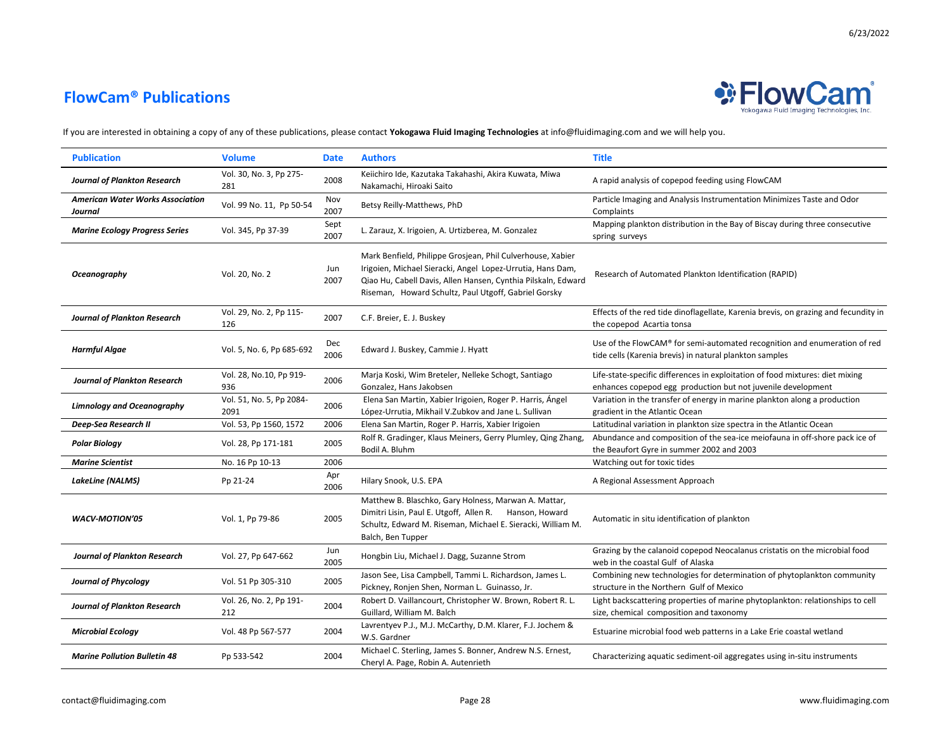

| <b>Publication</b>                                 | <b>Volume</b>                    | <b>Date</b>  | <b>Authors</b>                                                                                                                                                                                                                                    | <b>Title</b>                                                                                                                                  |
|----------------------------------------------------|----------------------------------|--------------|---------------------------------------------------------------------------------------------------------------------------------------------------------------------------------------------------------------------------------------------------|-----------------------------------------------------------------------------------------------------------------------------------------------|
| <b>Journal of Plankton Research</b>                | Vol. 30, No. 3, Pp 275-<br>281   | 2008         | Keiichiro Ide, Kazutaka Takahashi, Akira Kuwata, Miwa<br>Nakamachi, Hiroaki Saito                                                                                                                                                                 | A rapid analysis of copepod feeding using FlowCAM                                                                                             |
| <b>American Water Works Association</b><br>Journal | Vol. 99 No. 11, Pp 50-54         | Nov<br>2007  | Betsy Reilly-Matthews, PhD                                                                                                                                                                                                                        | Particle Imaging and Analysis Instrumentation Minimizes Taste and Odor<br>Complaints                                                          |
| <b>Marine Ecology Progress Series</b>              | Vol. 345, Pp 37-39               | Sept<br>2007 | L. Zarauz, X. Irigoien, A. Urtizberea, M. Gonzalez                                                                                                                                                                                                | Mapping plankton distribution in the Bay of Biscay during three consecutive<br>spring surveys                                                 |
| Oceanography                                       | Vol. 20, No. 2                   | Jun<br>2007  | Mark Benfield, Philippe Grosjean, Phil Culverhouse, Xabier<br>Irigoien, Michael Sieracki, Angel Lopez-Urrutia, Hans Dam,<br>Qiao Hu, Cabell Davis, Allen Hansen, Cynthia Pilskaln, Edward<br>Riseman, Howard Schultz, Paul Utgoff, Gabriel Gorsky | Research of Automated Plankton Identification (RAPID)                                                                                         |
| <b>Journal of Plankton Research</b>                | Vol. 29, No. 2, Pp 115-<br>126   | 2007         | C.F. Breier, E. J. Buskey                                                                                                                                                                                                                         | Effects of the red tide dinoflagellate, Karenia brevis, on grazing and fecundity in<br>the copepod Acartia tonsa                              |
| <b>Harmful Algae</b>                               | Vol. 5, No. 6, Pp 685-692        | Dec<br>2006  | Edward J. Buskey, Cammie J. Hyatt                                                                                                                                                                                                                 | Use of the FlowCAM® for semi-automated recognition and enumeration of red<br>tide cells (Karenia brevis) in natural plankton samples          |
| <b>Journal of Plankton Research</b>                | Vol. 28, No.10, Pp 919-<br>936   | 2006         | Marja Koski, Wim Breteler, Nelleke Schogt, Santiago<br>Gonzalez, Hans Jakobsen                                                                                                                                                                    | Life-state-specific differences in exploitation of food mixtures: diet mixing<br>enhances copepod egg production but not juvenile development |
| <b>Limnology and Oceanography</b>                  | Vol. 51, No. 5, Pp 2084-<br>2091 | 2006         | Elena San Martin, Xabier Irigoien, Roger P. Harris, Ángel<br>López-Urrutia, Mikhail V.Zubkov and Jane L. Sullivan                                                                                                                                 | Variation in the transfer of energy in marine plankton along a production<br>gradient in the Atlantic Ocean                                   |
| Deep-Sea Research II                               | Vol. 53, Pp 1560, 1572           | 2006         | Elena San Martin, Roger P. Harris, Xabier Irigoien                                                                                                                                                                                                | Latitudinal variation in plankton size spectra in the Atlantic Ocean                                                                          |
| <b>Polar Biology</b>                               | Vol. 28, Pp 171-181              | 2005         | Rolf R. Gradinger, Klaus Meiners, Gerry Plumley, Qing Zhang,<br>Bodil A. Bluhm                                                                                                                                                                    | Abundance and composition of the sea-ice meiofauna in off-shore pack ice of<br>the Beaufort Gyre in summer 2002 and 2003                      |
| <b>Marine Scientist</b>                            | No. 16 Pp 10-13                  | 2006         |                                                                                                                                                                                                                                                   | Watching out for toxic tides                                                                                                                  |
| <b>LakeLine (NALMS)</b>                            | Pp 21-24                         | Apr<br>2006  | Hilary Snook, U.S. EPA                                                                                                                                                                                                                            | A Regional Assessment Approach                                                                                                                |
| <b>WACV-MOTION'05</b>                              | Vol. 1, Pp 79-86                 | 2005         | Matthew B. Blaschko, Gary Holness, Marwan A. Mattar,<br>Dimitri Lisin, Paul E. Utgoff, Allen R. Hanson, Howard<br>Schultz, Edward M. Riseman, Michael E. Sieracki, William M.<br>Balch, Ben Tupper                                                | Automatic in situ identification of plankton                                                                                                  |
| <b>Journal of Plankton Research</b>                | Vol. 27, Pp 647-662              | Jun<br>2005  | Hongbin Liu, Michael J. Dagg, Suzanne Strom                                                                                                                                                                                                       | Grazing by the calanoid copepod Neocalanus cristatis on the microbial food<br>web in the coastal Gulf of Alaska                               |
| <b>Journal of Phycology</b>                        | Vol. 51 Pp 305-310               | 2005         | Jason See, Lisa Campbell, Tammi L. Richardson, James L.<br>Pickney, Ronjen Shen, Norman L. Guinasso, Jr.                                                                                                                                          | Combining new technologies for determination of phytoplankton community<br>structure in the Northern Gulf of Mexico                           |
| <b>Journal of Plankton Research</b>                | Vol. 26, No. 2, Pp 191-<br>212   | 2004         | Robert D. Vaillancourt, Christopher W. Brown, Robert R. L.<br>Guillard, William M. Balch                                                                                                                                                          | Light backscattering properties of marine phytoplankton: relationships to cell<br>size, chemical composition and taxonomy                     |
| <b>Microbial Ecology</b>                           | Vol. 48 Pp 567-577               | 2004         | Lavrentyev P.J., M.J. McCarthy, D.M. Klarer, F.J. Jochem &<br>W.S. Gardner                                                                                                                                                                        | Estuarine microbial food web patterns in a Lake Erie coastal wetland                                                                          |
| <b>Marine Pollution Bulletin 48</b>                | Pp 533-542                       | 2004         | Michael C. Sterling, James S. Bonner, Andrew N.S. Ernest,<br>Cheryl A. Page, Robin A. Autenrieth                                                                                                                                                  | Characterizing aquatic sediment-oil aggregates using in-situ instruments                                                                      |